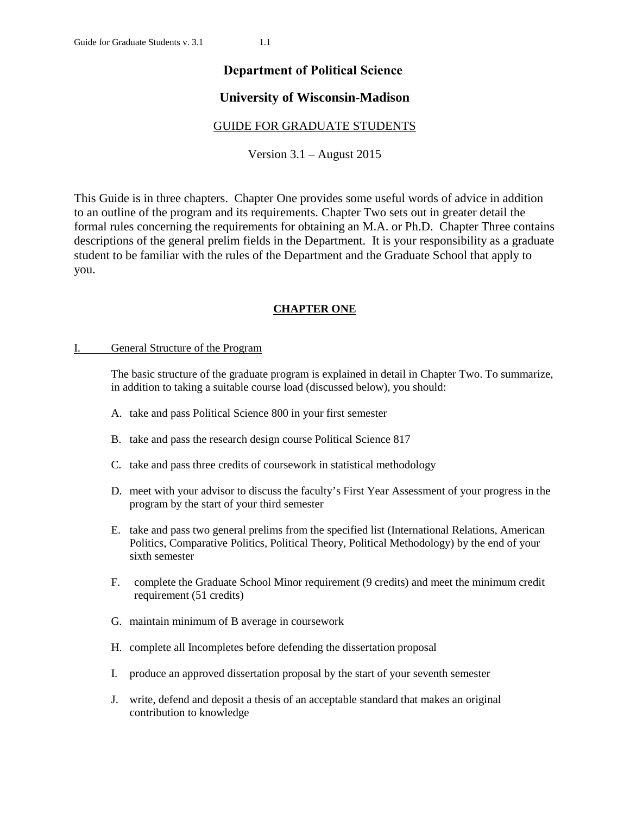# **Department of Political Science**

# **University of Wisconsin-Madison**

# GUIDE FOR GRADUATE STUDENTS

Version 3.1 – August 2015

This Guide is in three chapters. Chapter One provides some useful words of advice in addition to an outline of the program and its requirements. Chapter Two sets out in greater detail the formal rules concerning the requirements for obtaining an M.A. or Ph.D. Chapter Three contains descriptions of the general prelim fields in the Department. It is your responsibility as a graduate student to be familiar with the rules of the Department and the Graduate School that apply to you.

# **CHAPTER ONE**

# I. General Structure of the Program

The basic structure of the graduate program is explained in detail in Chapter Two. To summarize, in addition to taking a suitable course load (discussed below), you should:

- A. take and pass Political Science 800 in your first semester
- B. take and pass the research design course Political Science 817
- C. take and pass three credits of coursework in statistical methodology
- D. meet with your advisor to discuss the faculty's First Year Assessment of your progress in the program by the start of your third semester
- E. take and pass two general prelims from the specified list (International Relations, American Politics, Comparative Politics, Political Theory, Political Methodology) by the end of your sixth semester
- F. complete the Graduate School Minor requirement (9 credits) and meet the minimum credit requirement (51 credits)
- G. maintain minimum of B average in coursework
- H. complete all Incompletes before defending the dissertation proposal
- I. produce an approved dissertation proposal by the start of your seventh semester
- J. write, defend and deposit a thesis of an acceptable standard that makes an original contribution to knowledge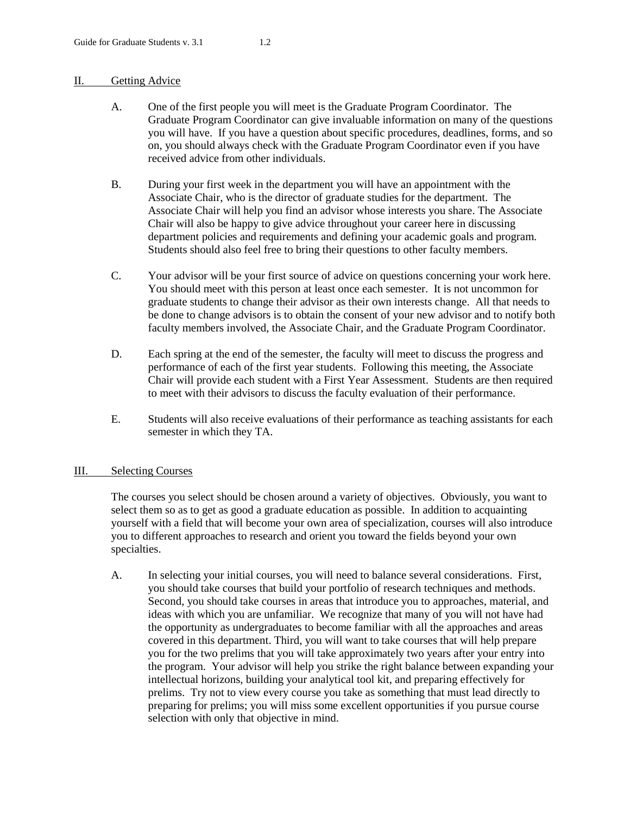### II. Getting Advice

- A. One of the first people you will meet is the Graduate Program Coordinator. The Graduate Program Coordinator can give invaluable information on many of the questions you will have. If you have a question about specific procedures, deadlines, forms, and so on, you should always check with the Graduate Program Coordinator even if you have received advice from other individuals.
- B. During your first week in the department you will have an appointment with the Associate Chair, who is the director of graduate studies for the department. The Associate Chair will help you find an advisor whose interests you share. The Associate Chair will also be happy to give advice throughout your career here in discussing department policies and requirements and defining your academic goals and program. Students should also feel free to bring their questions to other faculty members.
- C. Your advisor will be your first source of advice on questions concerning your work here. You should meet with this person at least once each semester. It is not uncommon for graduate students to change their advisor as their own interests change. All that needs to be done to change advisors is to obtain the consent of your new advisor and to notify both faculty members involved, the Associate Chair, and the Graduate Program Coordinator.
- D. Each spring at the end of the semester, the faculty will meet to discuss the progress and performance of each of the first year students. Following this meeting, the Associate Chair will provide each student with a First Year Assessment. Students are then required to meet with their advisors to discuss the faculty evaluation of their performance.
- E. Students will also receive evaluations of their performance as teaching assistants for each semester in which they TA.

# III. Selecting Courses

The courses you select should be chosen around a variety of objectives. Obviously, you want to select them so as to get as good a graduate education as possible. In addition to acquainting yourself with a field that will become your own area of specialization, courses will also introduce you to different approaches to research and orient you toward the fields beyond your own specialties.

A. In selecting your initial courses, you will need to balance several considerations. First, you should take courses that build your portfolio of research techniques and methods. Second, you should take courses in areas that introduce you to approaches, material, and ideas with which you are unfamiliar. We recognize that many of you will not have had the opportunity as undergraduates to become familiar with all the approaches and areas covered in this department. Third, you will want to take courses that will help prepare you for the two prelims that you will take approximately two years after your entry into the program. Your advisor will help you strike the right balance between expanding your intellectual horizons, building your analytical tool kit, and preparing effectively for prelims. Try not to view every course you take as something that must lead directly to preparing for prelims; you will miss some excellent opportunities if you pursue course selection with only that objective in mind.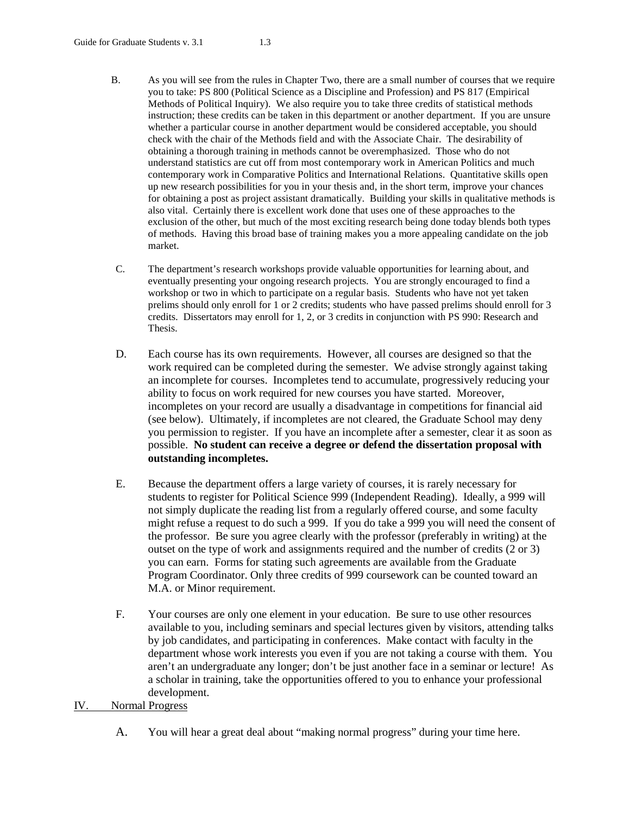- B. As you will see from the rules in Chapter Two, there are a small number of courses that we require you to take: PS 800 (Political Science as a Discipline and Profession) and PS 817 (Empirical Methods of Political Inquiry). We also require you to take three credits of statistical methods instruction; these credits can be taken in this department or another department. If you are unsure whether a particular course in another department would be considered acceptable, you should check with the chair of the Methods field and with the Associate Chair. The desirability of obtaining a thorough training in methods cannot be overemphasized. Those who do not understand statistics are cut off from most contemporary work in American Politics and much contemporary work in Comparative Politics and International Relations. Quantitative skills open up new research possibilities for you in your thesis and, in the short term, improve your chances for obtaining a post as project assistant dramatically. Building your skills in qualitative methods is also vital. Certainly there is excellent work done that uses one of these approaches to the exclusion of the other, but much of the most exciting research being done today blends both types of methods. Having this broad base of training makes you a more appealing candidate on the job market.
- C. The department's research workshops provide valuable opportunities for learning about, and eventually presenting your ongoing research projects. You are strongly encouraged to find a workshop or two in which to participate on a regular basis. Students who have not yet taken prelims should only enroll for 1 or 2 credits; students who have passed prelims should enroll for 3 credits. Dissertators may enroll for 1, 2, or 3 credits in conjunction with PS 990: Research and Thesis.
- D. Each course has its own requirements. However, all courses are designed so that the work required can be completed during the semester. We advise strongly against taking an incomplete for courses. Incompletes tend to accumulate, progressively reducing your ability to focus on work required for new courses you have started. Moreover, incompletes on your record are usually a disadvantage in competitions for financial aid (see below). Ultimately, if incompletes are not cleared, the Graduate School may deny you permission to register. If you have an incomplete after a semester, clear it as soon as possible. **No student can receive a degree or defend the dissertation proposal with outstanding incompletes.**
- E. Because the department offers a large variety of courses, it is rarely necessary for students to register for Political Science 999 (Independent Reading). Ideally, a 999 will not simply duplicate the reading list from a regularly offered course, and some faculty might refuse a request to do such a 999. If you do take a 999 you will need the consent of the professor. Be sure you agree clearly with the professor (preferably in writing) at the outset on the type of work and assignments required and the number of credits (2 or 3) you can earn. Forms for stating such agreements are available from the Graduate Program Coordinator. Only three credits of 999 coursework can be counted toward an M.A. or Minor requirement.
- F. Your courses are only one element in your education. Be sure to use other resources available to you, including seminars and special lectures given by visitors, attending talks by job candidates, and participating in conferences. Make contact with faculty in the department whose work interests you even if you are not taking a course with them. You aren't an undergraduate any longer; don't be just another face in a seminar or lecture! As a scholar in training, take the opportunities offered to you to enhance your professional development.

# IV. Normal Progress

A. You will hear a great deal about "making normal progress" during your time here.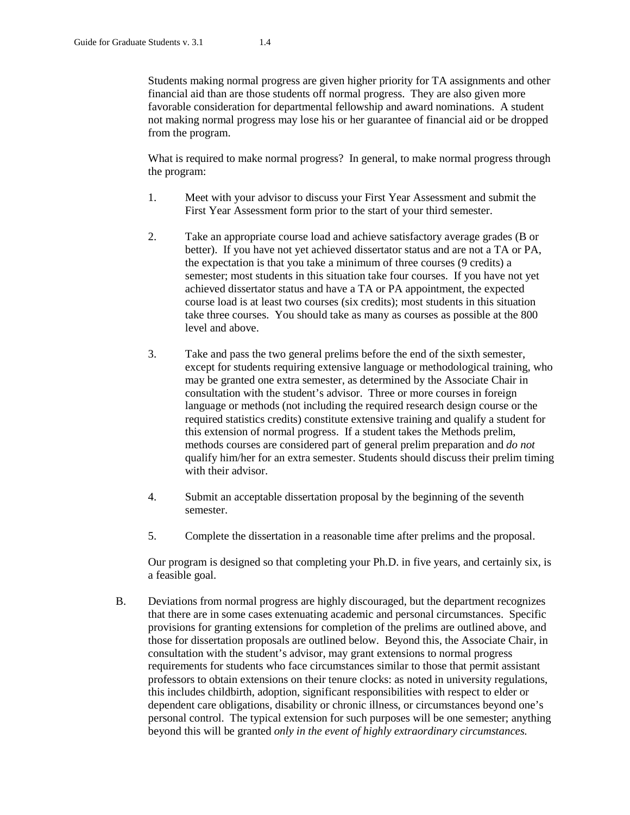Students making normal progress are given higher priority for TA assignments and other financial aid than are those students off normal progress. They are also given more favorable consideration for departmental fellowship and award nominations. A student not making normal progress may lose his or her guarantee of financial aid or be dropped from the program.

What is required to make normal progress? In general, to make normal progress through the program:

- 1. Meet with your advisor to discuss your First Year Assessment and submit the First Year Assessment form prior to the start of your third semester.
- 2. Take an appropriate course load and achieve satisfactory average grades (B or better). If you have not yet achieved dissertator status and are not a TA or PA, the expectation is that you take a minimum of three courses (9 credits) a semester; most students in this situation take four courses. If you have not yet achieved dissertator status and have a TA or PA appointment, the expected course load is at least two courses (six credits); most students in this situation take three courses. You should take as many as courses as possible at the 800 level and above.
- 3. Take and pass the two general prelims before the end of the sixth semester, except for students requiring extensive language or methodological training, who may be granted one extra semester, as determined by the Associate Chair in consultation with the student's advisor. Three or more courses in foreign language or methods (not including the required research design course or the required statistics credits) constitute extensive training and qualify a student for this extension of normal progress. If a student takes the Methods prelim, methods courses are considered part of general prelim preparation and *do not* qualify him/her for an extra semester. Students should discuss their prelim timing with their advisor.
- 4. Submit an acceptable dissertation proposal by the beginning of the seventh semester.
- 5. Complete the dissertation in a reasonable time after prelims and the proposal.

Our program is designed so that completing your Ph.D. in five years, and certainly six, is a feasible goal.

B. Deviations from normal progress are highly discouraged, but the department recognizes that there are in some cases extenuating academic and personal circumstances. Specific provisions for granting extensions for completion of the prelims are outlined above, and those for dissertation proposals are outlined below. Beyond this, the Associate Chair, in consultation with the student's advisor, may grant extensions to normal progress requirements for students who face circumstances similar to those that permit assistant professors to obtain extensions on their tenure clocks: as noted in university regulations, this includes childbirth, adoption, significant responsibilities with respect to elder or dependent care obligations, disability or chronic illness, or circumstances beyond one's personal control. The typical extension for such purposes will be one semester; anything beyond this will be granted *only in the event of highly extraordinary circumstances.*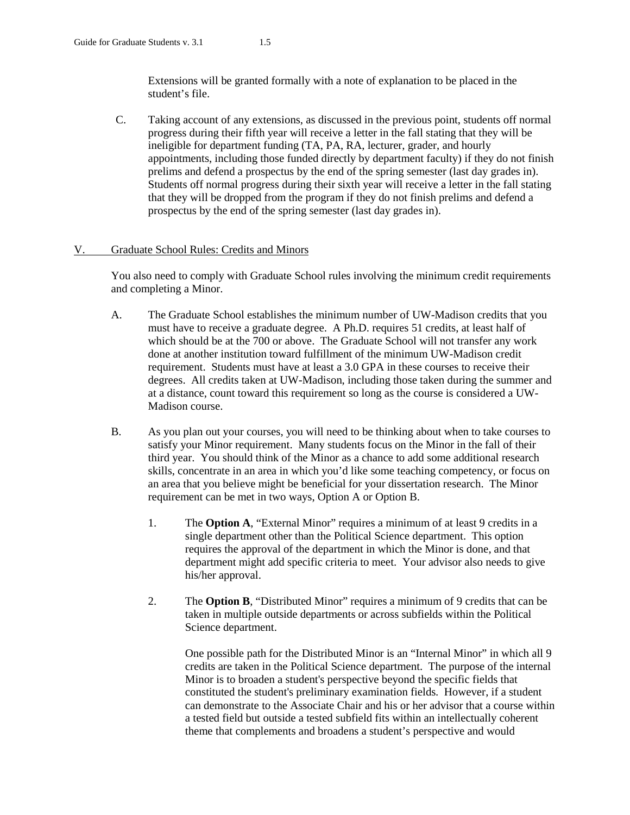Extensions will be granted formally with a note of explanation to be placed in the student's file.

C. Taking account of any extensions, as discussed in the previous point, students off normal progress during their fifth year will receive a letter in the fall stating that they will be ineligible for department funding (TA, PA, RA, lecturer, grader, and hourly appointments, including those funded directly by department faculty) if they do not finish prelims and defend a prospectus by the end of the spring semester (last day grades in). Students off normal progress during their sixth year will receive a letter in the fall stating that they will be dropped from the program if they do not finish prelims and defend a prospectus by the end of the spring semester (last day grades in).

# V. Graduate School Rules: Credits and Minors

You also need to comply with Graduate School rules involving the minimum credit requirements and completing a Minor.

- A. The Graduate School establishes the minimum number of UW-Madison credits that you must have to receive a graduate degree. A Ph.D. requires 51 credits, at least half of which should be at the 700 or above. The Graduate School will not transfer any work done at another institution toward fulfillment of the minimum UW-Madison credit requirement. Students must have at least a 3.0 GPA in these courses to receive their degrees. All credits taken at UW-Madison, including those taken during the summer and at a distance, count toward this requirement so long as the course is considered a UW-Madison course.
- B. As you plan out your courses, you will need to be thinking about when to take courses to satisfy your Minor requirement. Many students focus on the Minor in the fall of their third year. You should think of the Minor as a chance to add some additional research skills, concentrate in an area in which you'd like some teaching competency, or focus on an area that you believe might be beneficial for your dissertation research. The Minor requirement can be met in two ways, Option A or Option B.
	- 1. The **Option A**, "External Minor" requires a minimum of at least 9 credits in a single department other than the Political Science department. This option requires the approval of the department in which the Minor is done, and that department might add specific criteria to meet. Your advisor also needs to give his/her approval.
	- 2. The **Option B**, "Distributed Minor" requires a minimum of 9 credits that can be taken in multiple outside departments or across subfields within the Political Science department.

One possible path for the Distributed Minor is an "Internal Minor" in which all 9 credits are taken in the Political Science department. The purpose of the internal Minor is to broaden a student's perspective beyond the specific fields that constituted the student's preliminary examination fields. However, if a student can demonstrate to the Associate Chair and his or her advisor that a course within a tested field but outside a tested subfield fits within an intellectually coherent theme that complements and broadens a student's perspective and would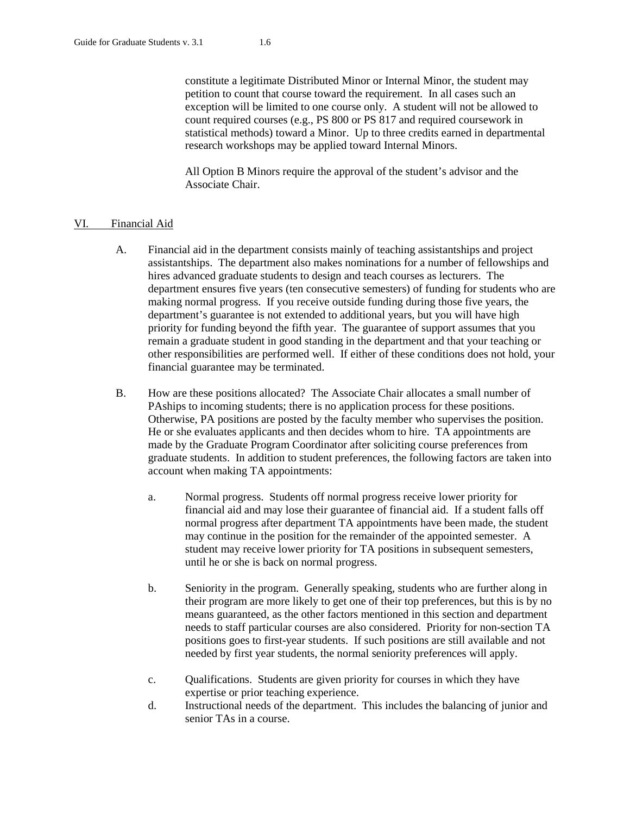constitute a legitimate Distributed Minor or Internal Minor, the student may petition to count that course toward the requirement. In all cases such an exception will be limited to one course only. A student will not be allowed to count required courses (e.g., PS 800 or PS 817 and required coursework in statistical methods) toward a Minor. Up to three credits earned in departmental research workshops may be applied toward Internal Minors.

All Option B Minors require the approval of the student's advisor and the Associate Chair.

### VI. Financial Aid

- A. Financial aid in the department consists mainly of teaching assistantships and project assistantships. The department also makes nominations for a number of fellowships and hires advanced graduate students to design and teach courses as lecturers. The department ensures five years (ten consecutive semesters) of funding for students who are making normal progress. If you receive outside funding during those five years, the department's guarantee is not extended to additional years, but you will have high priority for funding beyond the fifth year. The guarantee of support assumes that you remain a graduate student in good standing in the department and that your teaching or other responsibilities are performed well. If either of these conditions does not hold, your financial guarantee may be terminated.
- B. How are these positions allocated? The Associate Chair allocates a small number of PAships to incoming students; there is no application process for these positions. Otherwise, PA positions are posted by the faculty member who supervises the position. He or she evaluates applicants and then decides whom to hire. TA appointments are made by the Graduate Program Coordinator after soliciting course preferences from graduate students. In addition to student preferences, the following factors are taken into account when making TA appointments:
	- a. Normal progress. Students off normal progress receive lower priority for financial aid and may lose their guarantee of financial aid. If a student falls off normal progress after department TA appointments have been made, the student may continue in the position for the remainder of the appointed semester. A student may receive lower priority for TA positions in subsequent semesters, until he or she is back on normal progress.
	- b. Seniority in the program. Generally speaking, students who are further along in their program are more likely to get one of their top preferences, but this is by no means guaranteed, as the other factors mentioned in this section and department needs to staff particular courses are also considered. Priority for non-section TA positions goes to first-year students. If such positions are still available and not needed by first year students, the normal seniority preferences will apply.
	- c. Qualifications. Students are given priority for courses in which they have expertise or prior teaching experience.
	- d. Instructional needs of the department. This includes the balancing of junior and senior TAs in a course.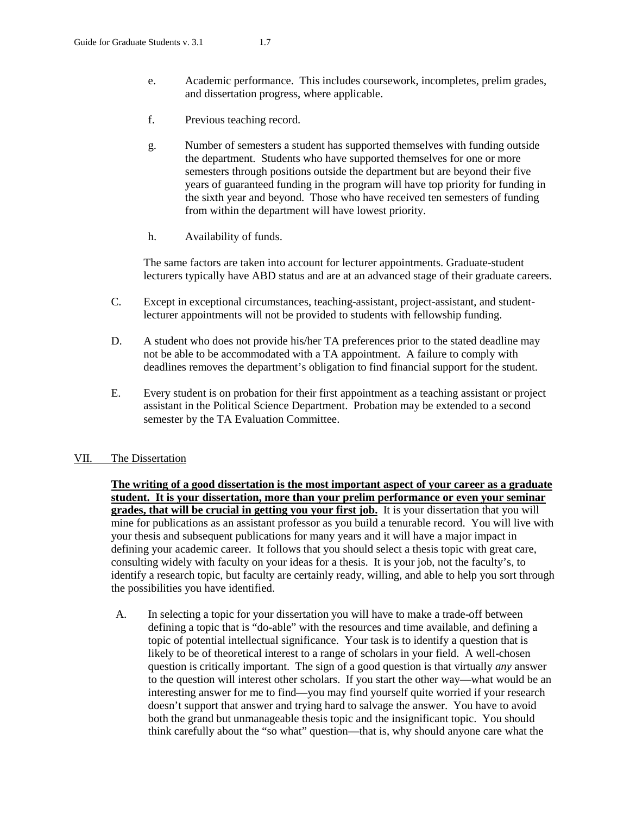- e. Academic performance. This includes coursework, incompletes, prelim grades, and dissertation progress, where applicable.
- f. Previous teaching record.
- g. Number of semesters a student has supported themselves with funding outside the department. Students who have supported themselves for one or more semesters through positions outside the department but are beyond their five years of guaranteed funding in the program will have top priority for funding in the sixth year and beyond. Those who have received ten semesters of funding from within the department will have lowest priority.
- h. Availability of funds.

The same factors are taken into account for lecturer appointments. Graduate-student lecturers typically have ABD status and are at an advanced stage of their graduate careers.

- C. Except in exceptional circumstances, teaching-assistant, project-assistant, and studentlecturer appointments will not be provided to students with fellowship funding.
- D. A student who does not provide his/her TA preferences prior to the stated deadline may not be able to be accommodated with a TA appointment. A failure to comply with deadlines removes the department's obligation to find financial support for the student.
- E. Every student is on probation for their first appointment as a teaching assistant or project assistant in the Political Science Department. Probation may be extended to a second semester by the TA Evaluation Committee.

# VII. The Dissertation

**The writing of a good dissertation is the most important aspect of your career as a graduate student. It is your dissertation, more than your prelim performance or even your seminar grades, that will be crucial in getting you your first job.** It is your dissertation that you will mine for publications as an assistant professor as you build a tenurable record. You will live with your thesis and subsequent publications for many years and it will have a major impact in defining your academic career. It follows that you should select a thesis topic with great care, consulting widely with faculty on your ideas for a thesis. It is your job, not the faculty's, to identify a research topic, but faculty are certainly ready, willing, and able to help you sort through the possibilities you have identified.

A. In selecting a topic for your dissertation you will have to make a trade-off between defining a topic that is "do-able" with the resources and time available, and defining a topic of potential intellectual significance. Your task is to identify a question that is likely to be of theoretical interest to a range of scholars in your field. A well-chosen question is critically important. The sign of a good question is that virtually *any* answer to the question will interest other scholars. If you start the other way—what would be an interesting answer for me to find—you may find yourself quite worried if your research doesn't support that answer and trying hard to salvage the answer. You have to avoid both the grand but unmanageable thesis topic and the insignificant topic. You should think carefully about the "so what" question—that is, why should anyone care what the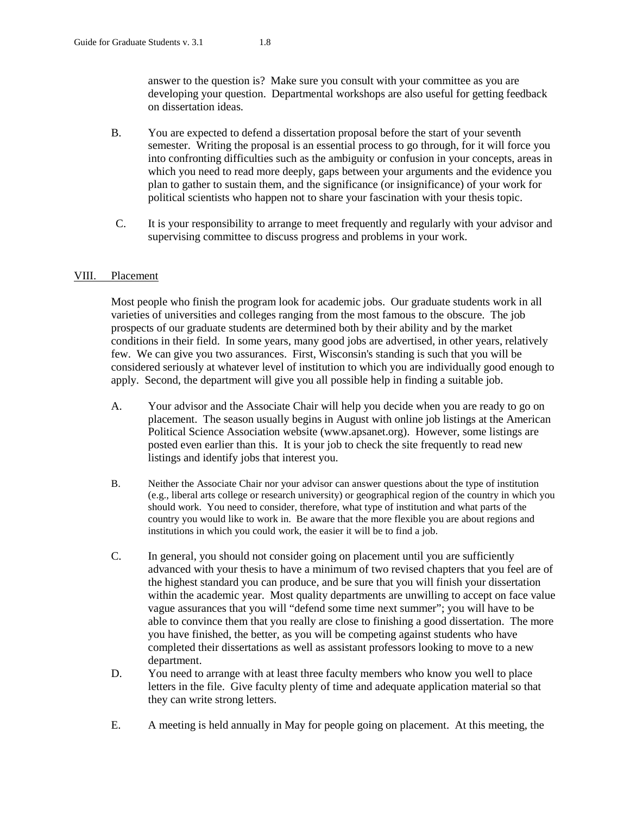answer to the question is? Make sure you consult with your committee as you are developing your question. Departmental workshops are also useful for getting feedback on dissertation ideas.

- B. You are expected to defend a dissertation proposal before the start of your seventh semester. Writing the proposal is an essential process to go through, for it will force you into confronting difficulties such as the ambiguity or confusion in your concepts, areas in which you need to read more deeply, gaps between your arguments and the evidence you plan to gather to sustain them, and the significance (or insignificance) of your work for political scientists who happen not to share your fascination with your thesis topic.
- C. It is your responsibility to arrange to meet frequently and regularly with your advisor and supervising committee to discuss progress and problems in your work.

# VIII. Placement

Most people who finish the program look for academic jobs. Our graduate students work in all varieties of universities and colleges ranging from the most famous to the obscure. The job prospects of our graduate students are determined both by their ability and by the market conditions in their field. In some years, many good jobs are advertised, in other years, relatively few. We can give you two assurances. First, Wisconsin's standing is such that you will be considered seriously at whatever level of institution to which you are individually good enough to apply. Second, the department will give you all possible help in finding a suitable job.

- A. Your advisor and the Associate Chair will help you decide when you are ready to go on placement. The season usually begins in August with online job listings at the American Political Science Association website (www.apsanet.org). However, some listings are posted even earlier than this. It is your job to check the site frequently to read new listings and identify jobs that interest you.
- B. Neither the Associate Chair nor your advisor can answer questions about the type of institution (e.g., liberal arts college or research university) or geographical region of the country in which you should work. You need to consider, therefore, what type of institution and what parts of the country you would like to work in. Be aware that the more flexible you are about regions and institutions in which you could work, the easier it will be to find a job.
- C. In general, you should not consider going on placement until you are sufficiently advanced with your thesis to have a minimum of two revised chapters that you feel are of the highest standard you can produce, and be sure that you will finish your dissertation within the academic year. Most quality departments are unwilling to accept on face value vague assurances that you will "defend some time next summer"; you will have to be able to convince them that you really are close to finishing a good dissertation. The more you have finished, the better, as you will be competing against students who have completed their dissertations as well as assistant professors looking to move to a new department.
- D. You need to arrange with at least three faculty members who know you well to place letters in the file. Give faculty plenty of time and adequate application material so that they can write strong letters.
- E. A meeting is held annually in May for people going on placement. At this meeting, the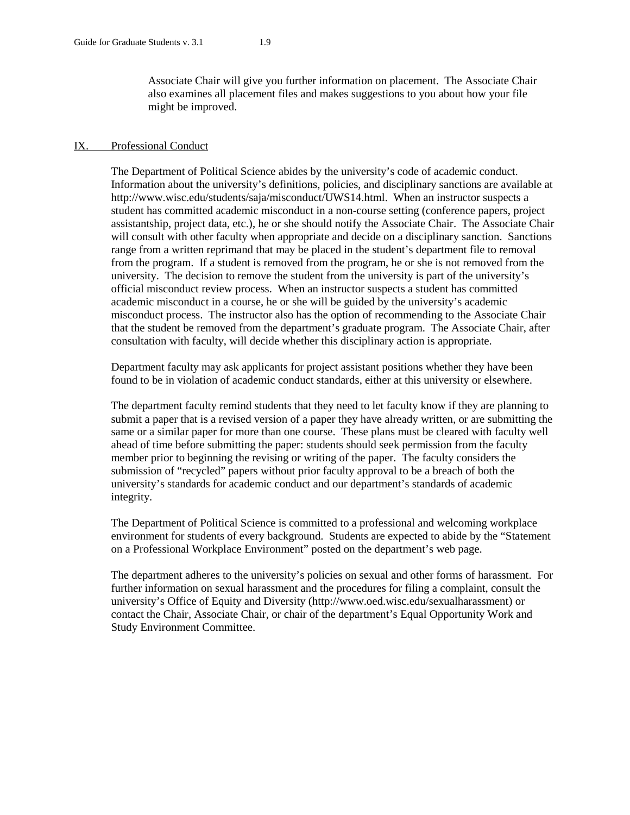Associate Chair will give you further information on placement. The Associate Chair also examines all placement files and makes suggestions to you about how your file might be improved.

#### IX. Professional Conduct

The Department of Political Science abides by the university's code of academic conduct. Information about the university's definitions, policies, and disciplinary sanctions are available at [http://www.wisc.edu/students/saja/misconduct/UWS14.html.](http://www.wisc.edu/students/saja/misconduct/UWS14.html) When an instructor suspects a student has committed academic misconduct in a non-course setting (conference papers, project assistantship, project data, etc.), he or she should notify the Associate Chair. The Associate Chair will consult with other faculty when appropriate and decide on a disciplinary sanction. Sanctions range from a written reprimand that may be placed in the student's department file to removal from the program. If a student is removed from the program, he or she is not removed from the university. The decision to remove the student from the university is part of the university's official misconduct review process. When an instructor suspects a student has committed academic misconduct in a course, he or she will be guided by the university's academic misconduct process. The instructor also has the option of recommending to the Associate Chair that the student be removed from the department's graduate program. The Associate Chair, after consultation with faculty, will decide whether this disciplinary action is appropriate.

Department faculty may ask applicants for project assistant positions whether they have been found to be in violation of academic conduct standards, either at this university or elsewhere.

The department faculty remind students that they need to let faculty know if they are planning to submit a paper that is a revised version of a paper they have already written, or are submitting the same or a similar paper for more than one course. These plans must be cleared with faculty well ahead of time before submitting the paper: students should seek permission from the faculty member prior to beginning the revising or writing of the paper. The faculty considers the submission of "recycled" papers without prior faculty approval to be a breach of both the university's standards for academic conduct and our department's standards of academic integrity.

The Department of Political Science is committed to a professional and welcoming workplace environment for students of every background. Students are expected to abide by the "Statement on a Professional Workplace Environment" posted on the department's web page.

The department adheres to the university's policies on sexual and other forms of harassment. For further information on sexual harassment and the procedures for filing a complaint, consult the university's Office of Equity and Diversity [\(http://www.oed.wisc.edu/sexualharassment\)](http://www.oed.wisc.edu/sexualharassment) or contact the Chair, Associate Chair, or chair of the department's Equal Opportunity Work and Study Environment Committee.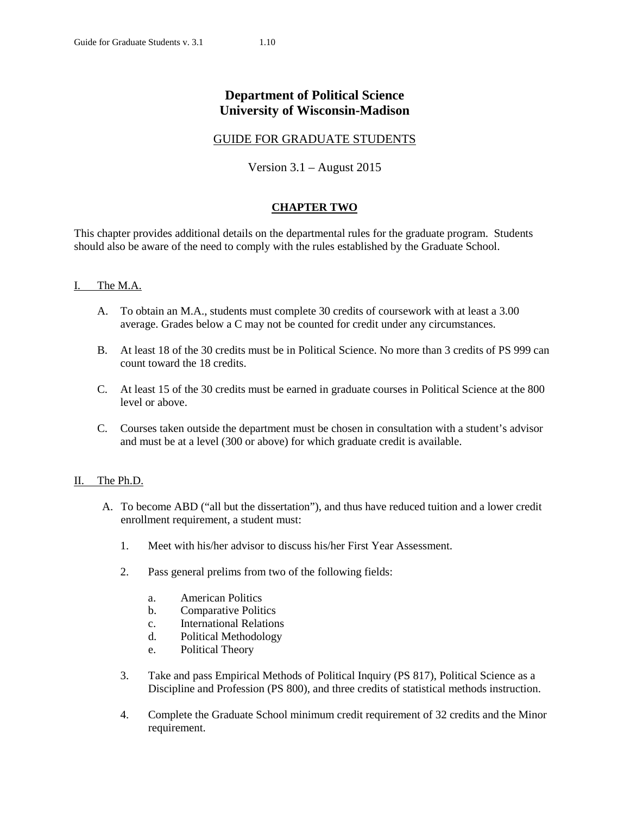# **Department of Political Science University of Wisconsin-Madison**

# GUIDE FOR GRADUATE STUDENTS

Version 3.1 – August 2015

# **CHAPTER TWO**

This chapter provides additional details on the departmental rules for the graduate program. Students should also be aware of the need to comply with the rules established by the Graduate School.

# I. The M.A.

- A. To obtain an M.A., students must complete 30 credits of coursework with at least a 3.00 average. Grades below a C may not be counted for credit under any circumstances.
- B. At least 18 of the 30 credits must be in Political Science. No more than 3 credits of PS 999 can count toward the 18 credits.
- C. At least 15 of the 30 credits must be earned in graduate courses in Political Science at the 800 level or above.
- C. Courses taken outside the department must be chosen in consultation with a student's advisor and must be at a level (300 or above) for which graduate credit is available.

# II. The Ph.D.

- A. To become ABD ("all but the dissertation"), and thus have reduced tuition and a lower credit enrollment requirement, a student must:
	- 1. Meet with his/her advisor to discuss his/her First Year Assessment.
	- 2. Pass general prelims from two of the following fields:
		- a. American Politics
		- b. Comparative Politics
		- c. International Relations
		- d. Political Methodology
		- e. Political Theory
	- 3. Take and pass Empirical Methods of Political Inquiry (PS 817), Political Science as a Discipline and Profession (PS 800), and three credits of statistical methods instruction.
	- 4. Complete the Graduate School minimum credit requirement of 32 credits and the Minor requirement.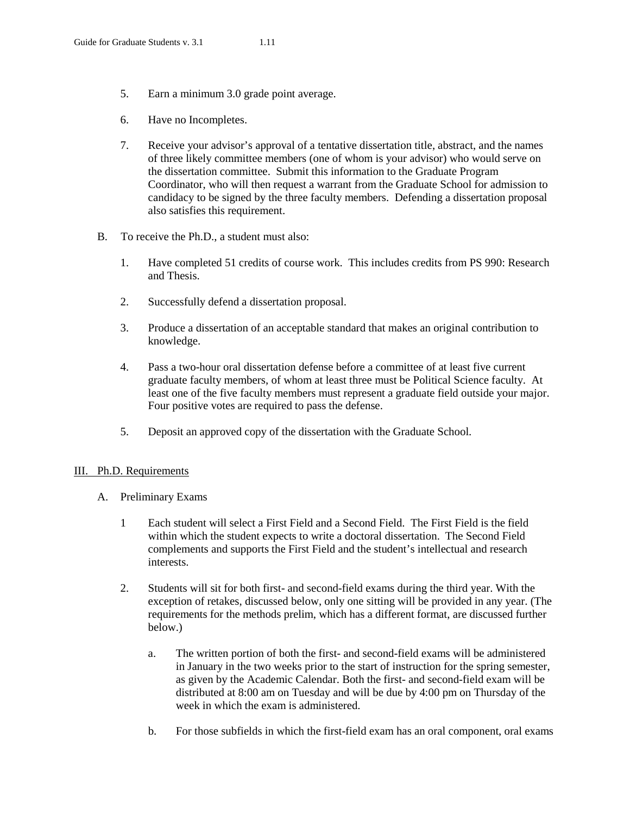- 5. Earn a minimum 3.0 grade point average.
- 6. Have no Incompletes.
- 7. Receive your advisor's approval of a tentative dissertation title, abstract, and the names of three likely committee members (one of whom is your advisor) who would serve on the dissertation committee. Submit this information to the Graduate Program Coordinator, who will then request a warrant from the Graduate School for admission to candidacy to be signed by the three faculty members. Defending a dissertation proposal also satisfies this requirement.
- B. To receive the Ph.D., a student must also:
	- 1. Have completed 51 credits of course work. This includes credits from PS 990: Research and Thesis.
	- 2. Successfully defend a dissertation proposal.
	- 3. Produce a dissertation of an acceptable standard that makes an original contribution to knowledge.
	- 4. Pass a two-hour oral dissertation defense before a committee of at least five current graduate faculty members, of whom at least three must be Political Science faculty. At least one of the five faculty members must represent a graduate field outside your major. Four positive votes are required to pass the defense.
	- 5. Deposit an approved copy of the dissertation with the Graduate School.

#### III. Ph.D. Requirements

- A. Preliminary Exams
	- 1 Each student will select a First Field and a Second Field. The First Field is the field within which the student expects to write a doctoral dissertation. The Second Field complements and supports the First Field and the student's intellectual and research interests.
	- 2. Students will sit for both first- and second-field exams during the third year. With the exception of retakes, discussed below, only one sitting will be provided in any year. (The requirements for the methods prelim, which has a different format, are discussed further below.)
		- a. The written portion of both the first- and second-field exams will be administered in January in the two weeks prior to the start of instruction for the spring semester, as given by the Academic Calendar. Both the first- and second-field exam will be distributed at 8:00 am on Tuesday and will be due by 4:00 pm on Thursday of the week in which the exam is administered.
		- b. For those subfields in which the first-field exam has an oral component, oral exams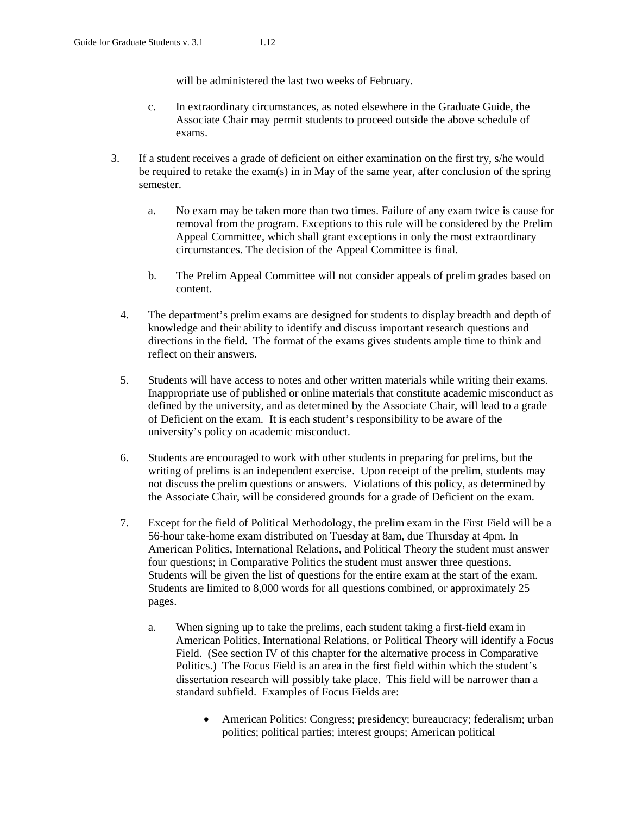will be administered the last two weeks of February.

- c. In extraordinary circumstances, as noted elsewhere in the Graduate Guide, the Associate Chair may permit students to proceed outside the above schedule of exams.
- 3. If a student receives a grade of deficient on either examination on the first try, s/he would be required to retake the exam(s) in in May of the same year, after conclusion of the spring semester.
	- a. No exam may be taken more than two times. Failure of any exam twice is cause for removal from the program. Exceptions to this rule will be considered by the Prelim Appeal Committee, which shall grant exceptions in only the most extraordinary circumstances. The decision of the Appeal Committee is final.
	- b. The Prelim Appeal Committee will not consider appeals of prelim grades based on content.
	- 4. The department's prelim exams are designed for students to display breadth and depth of knowledge and their ability to identify and discuss important research questions and directions in the field. The format of the exams gives students ample time to think and reflect on their answers.
	- 5. Students will have access to notes and other written materials while writing their exams. Inappropriate use of published or online materials that constitute academic misconduct as defined by the university, and as determined by the Associate Chair, will lead to a grade of Deficient on the exam. It is each student's responsibility to be aware of the university's policy on academic misconduct.
	- 6. Students are encouraged to work with other students in preparing for prelims, but the writing of prelims is an independent exercise. Upon receipt of the prelim, students may not discuss the prelim questions or answers. Violations of this policy, as determined by the Associate Chair, will be considered grounds for a grade of Deficient on the exam.
	- 7. Except for the field of Political Methodology, the prelim exam in the First Field will be a 56-hour take-home exam distributed on Tuesday at 8am, due Thursday at 4pm. In American Politics, International Relations, and Political Theory the student must answer four questions; in Comparative Politics the student must answer three questions. Students will be given the list of questions for the entire exam at the start of the exam. Students are limited to 8,000 words for all questions combined, or approximately 25 pages.
		- a. When signing up to take the prelims, each student taking a first-field exam in American Politics, International Relations, or Political Theory will identify a Focus Field. (See section IV of this chapter for the alternative process in Comparative Politics.) The Focus Field is an area in the first field within which the student's dissertation research will possibly take place. This field will be narrower than a standard subfield. Examples of Focus Fields are:
			- American Politics: Congress; presidency; bureaucracy; federalism; urban politics; political parties; interest groups; American political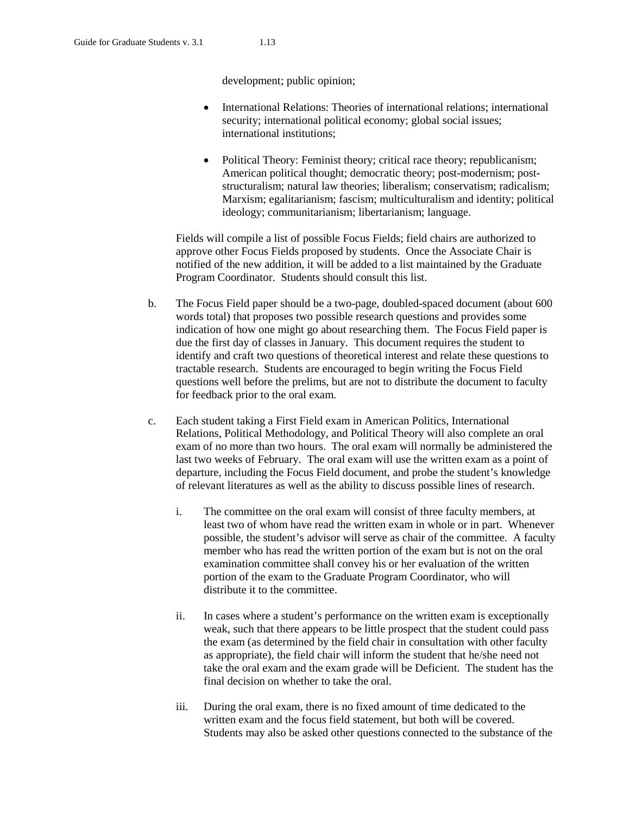development; public opinion;

- International Relations: Theories of international relations; international security; international political economy; global social issues; international institutions;
- Political Theory: Feminist theory; critical race theory; republicanism; American political thought; democratic theory; post-modernism; poststructuralism; natural law theories; liberalism; conservatism; radicalism; Marxism; egalitarianism; fascism; multiculturalism and identity; political ideology; communitarianism; libertarianism; language.

Fields will compile a list of possible Focus Fields; field chairs are authorized to approve other Focus Fields proposed by students. Once the Associate Chair is notified of the new addition, it will be added to a list maintained by the Graduate Program Coordinator. Students should consult this list.

- b. The Focus Field paper should be a two-page, doubled-spaced document (about 600 words total) that proposes two possible research questions and provides some indication of how one might go about researching them. The Focus Field paper is due the first day of classes in January. This document requires the student to identify and craft two questions of theoretical interest and relate these questions to tractable research. Students are encouraged to begin writing the Focus Field questions well before the prelims, but are not to distribute the document to faculty for feedback prior to the oral exam.
- c. Each student taking a First Field exam in American Politics, International Relations, Political Methodology, and Political Theory will also complete an oral exam of no more than two hours. The oral exam will normally be administered the last two weeks of February. The oral exam will use the written exam as a point of departure, including the Focus Field document, and probe the student's knowledge of relevant literatures as well as the ability to discuss possible lines of research.
	- i. The committee on the oral exam will consist of three faculty members, at least two of whom have read the written exam in whole or in part. Whenever possible, the student's advisor will serve as chair of the committee. A faculty member who has read the written portion of the exam but is not on the oral examination committee shall convey his or her evaluation of the written portion of the exam to the Graduate Program Coordinator, who will distribute it to the committee.
	- ii. In cases where a student's performance on the written exam is exceptionally weak, such that there appears to be little prospect that the student could pass the exam (as determined by the field chair in consultation with other faculty as appropriate), the field chair will inform the student that he/she need not take the oral exam and the exam grade will be Deficient. The student has the final decision on whether to take the oral.
	- iii. During the oral exam, there is no fixed amount of time dedicated to the written exam and the focus field statement, but both will be covered. Students may also be asked other questions connected to the substance of the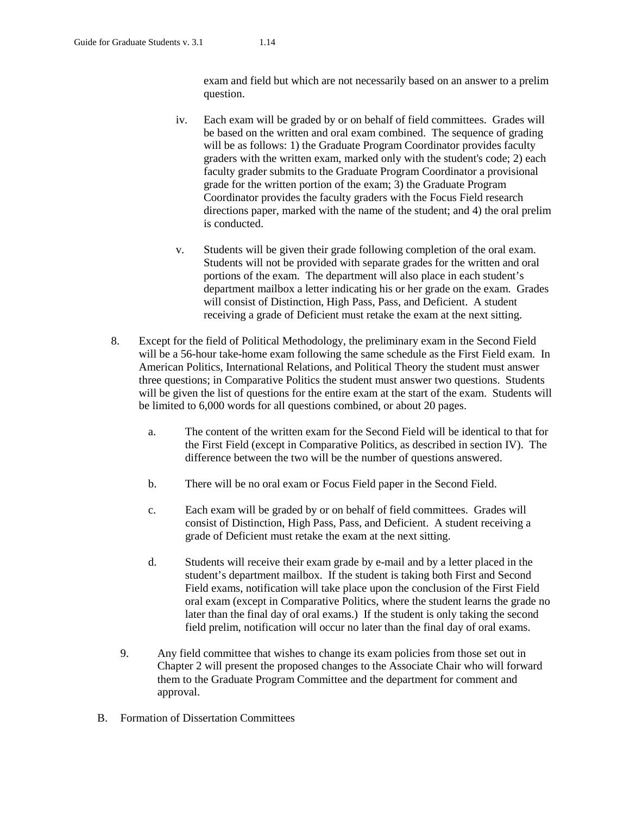exam and field but which are not necessarily based on an answer to a prelim question.

- iv. Each exam will be graded by or on behalf of field committees. Grades will be based on the written and oral exam combined. The sequence of grading will be as follows: 1) the Graduate Program Coordinator provides faculty graders with the written exam, marked only with the student's code; 2) each faculty grader submits to the Graduate Program Coordinator a provisional grade for the written portion of the exam; 3) the Graduate Program Coordinator provides the faculty graders with the Focus Field research directions paper, marked with the name of the student; and 4) the oral prelim is conducted.
- v. Students will be given their grade following completion of the oral exam. Students will not be provided with separate grades for the written and oral portions of the exam. The department will also place in each student's department mailbox a letter indicating his or her grade on the exam. Grades will consist of Distinction, High Pass, Pass, and Deficient. A student receiving a grade of Deficient must retake the exam at the next sitting.
- 8. Except for the field of Political Methodology, the preliminary exam in the Second Field will be a 56-hour take-home exam following the same schedule as the First Field exam. In American Politics, International Relations, and Political Theory the student must answer three questions; in Comparative Politics the student must answer two questions. Students will be given the list of questions for the entire exam at the start of the exam. Students will be limited to 6,000 words for all questions combined, or about 20 pages.
	- a. The content of the written exam for the Second Field will be identical to that for the First Field (except in Comparative Politics, as described in section IV). The difference between the two will be the number of questions answered.
	- b. There will be no oral exam or Focus Field paper in the Second Field.
	- c. Each exam will be graded by or on behalf of field committees. Grades will consist of Distinction, High Pass, Pass, and Deficient. A student receiving a grade of Deficient must retake the exam at the next sitting.
	- d. Students will receive their exam grade by e-mail and by a letter placed in the student's department mailbox. If the student is taking both First and Second Field exams, notification will take place upon the conclusion of the First Field oral exam (except in Comparative Politics, where the student learns the grade no later than the final day of oral exams.) If the student is only taking the second field prelim, notification will occur no later than the final day of oral exams.
	- 9. Any field committee that wishes to change its exam policies from those set out in Chapter 2 will present the proposed changes to the Associate Chair who will forward them to the Graduate Program Committee and the department for comment and approval.
- B. Formation of Dissertation Committees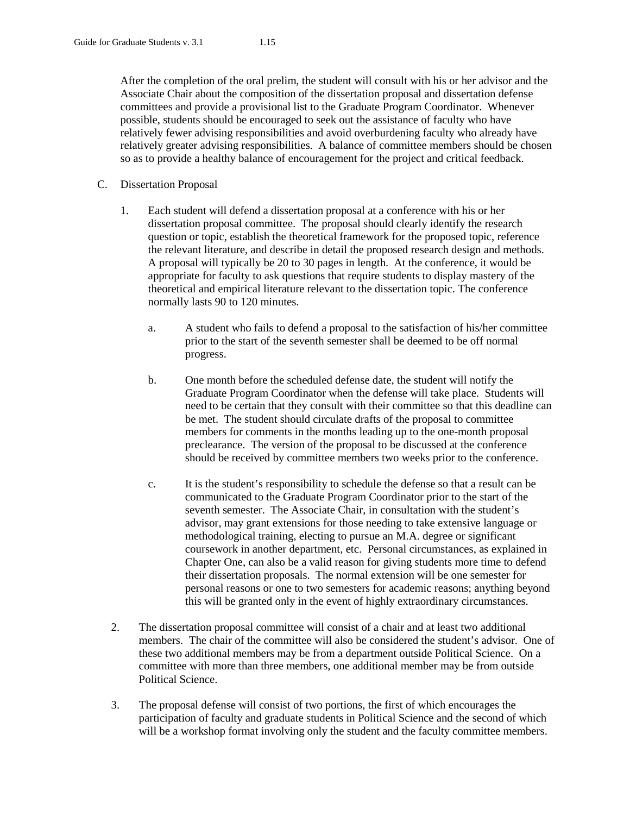After the completion of the oral prelim, the student will consult with his or her advisor and the Associate Chair about the composition of the dissertation proposal and dissertation defense committees and provide a provisional list to the Graduate Program Coordinator. Whenever possible, students should be encouraged to seek out the assistance of faculty who have relatively fewer advising responsibilities and avoid overburdening faculty who already have relatively greater advising responsibilities. A balance of committee members should be chosen so as to provide a healthy balance of encouragement for the project and critical feedback.

- C. Dissertation Proposal
	- 1. Each student will defend a dissertation proposal at a conference with his or her dissertation proposal committee. The proposal should clearly identify the research question or topic, establish the theoretical framework for the proposed topic, reference the relevant literature, and describe in detail the proposed research design and methods. A proposal will typically be 20 to 30 pages in length. At the conference, it would be appropriate for faculty to ask questions that require students to display mastery of the theoretical and empirical literature relevant to the dissertation topic. The conference normally lasts 90 to 120 minutes.
		- a. A student who fails to defend a proposal to the satisfaction of his/her committee prior to the start of the seventh semester shall be deemed to be off normal progress.
		- b. One month before the scheduled defense date, the student will notify the Graduate Program Coordinator when the defense will take place. Students will need to be certain that they consult with their committee so that this deadline can be met. The student should circulate drafts of the proposal to committee members for comments in the months leading up to the one-month proposal preclearance. The version of the proposal to be discussed at the conference should be received by committee members two weeks prior to the conference.
		- c. It is the student's responsibility to schedule the defense so that a result can be communicated to the Graduate Program Coordinator prior to the start of the seventh semester. The Associate Chair, in consultation with the student's advisor, may grant extensions for those needing to take extensive language or methodological training, electing to pursue an M.A. degree or significant coursework in another department, etc. Personal circumstances, as explained in Chapter One, can also be a valid reason for giving students more time to defend their dissertation proposals. The normal extension will be one semester for personal reasons or one to two semesters for academic reasons; anything beyond this will be granted only in the event of highly extraordinary circumstances.
	- 2. The dissertation proposal committee will consist of a chair and at least two additional members. The chair of the committee will also be considered the student's advisor. One of these two additional members may be from a department outside Political Science. On a committee with more than three members, one additional member may be from outside Political Science.
	- 3. The proposal defense will consist of two portions, the first of which encourages the participation of faculty and graduate students in Political Science and the second of which will be a workshop format involving only the student and the faculty committee members.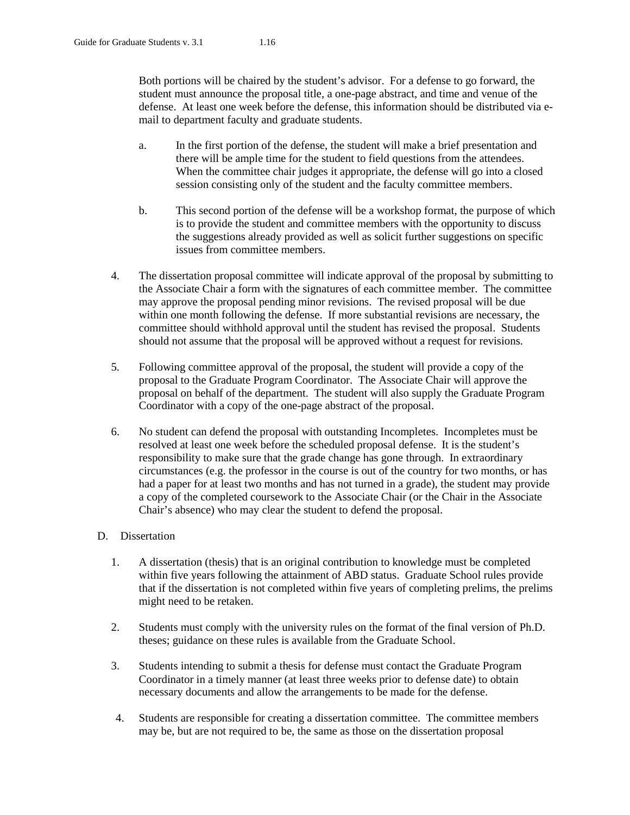Both portions will be chaired by the student's advisor. For a defense to go forward, the student must announce the proposal title, a one-page abstract, and time and venue of the defense. At least one week before the defense, this information should be distributed via email to department faculty and graduate students.

- a. In the first portion of the defense, the student will make a brief presentation and there will be ample time for the student to field questions from the attendees. When the committee chair judges it appropriate, the defense will go into a closed session consisting only of the student and the faculty committee members.
- b. This second portion of the defense will be a workshop format, the purpose of which is to provide the student and committee members with the opportunity to discuss the suggestions already provided as well as solicit further suggestions on specific issues from committee members.
- 4. The dissertation proposal committee will indicate approval of the proposal by submitting to the Associate Chair a form with the signatures of each committee member. The committee may approve the proposal pending minor revisions. The revised proposal will be due within one month following the defense. If more substantial revisions are necessary, the committee should withhold approval until the student has revised the proposal. Students should not assume that the proposal will be approved without a request for revisions.
- 5. Following committee approval of the proposal, the student will provide a copy of the proposal to the Graduate Program Coordinator. The Associate Chair will approve the proposal on behalf of the department. The student will also supply the Graduate Program Coordinator with a copy of the one-page abstract of the proposal.
- 6. No student can defend the proposal with outstanding Incompletes. Incompletes must be resolved at least one week before the scheduled proposal defense. It is the student's responsibility to make sure that the grade change has gone through. In extraordinary circumstances (e.g. the professor in the course is out of the country for two months, or has had a paper for at least two months and has not turned in a grade), the student may provide a copy of the completed coursework to the Associate Chair (or the Chair in the Associate Chair's absence) who may clear the student to defend the proposal.

# D. Dissertation

- 1. A dissertation (thesis) that is an original contribution to knowledge must be completed within five years following the attainment of ABD status. Graduate School rules provide that if the dissertation is not completed within five years of completing prelims, the prelims might need to be retaken.
- 2. Students must comply with the university rules on the format of the final version of Ph.D. theses; guidance on these rules is available from the Graduate School.
- 3. Students intending to submit a thesis for defense must contact the Graduate Program Coordinator in a timely manner (at least three weeks prior to defense date) to obtain necessary documents and allow the arrangements to be made for the defense.
- 4. Students are responsible for creating a dissertation committee. The committee members may be, but are not required to be, the same as those on the dissertation proposal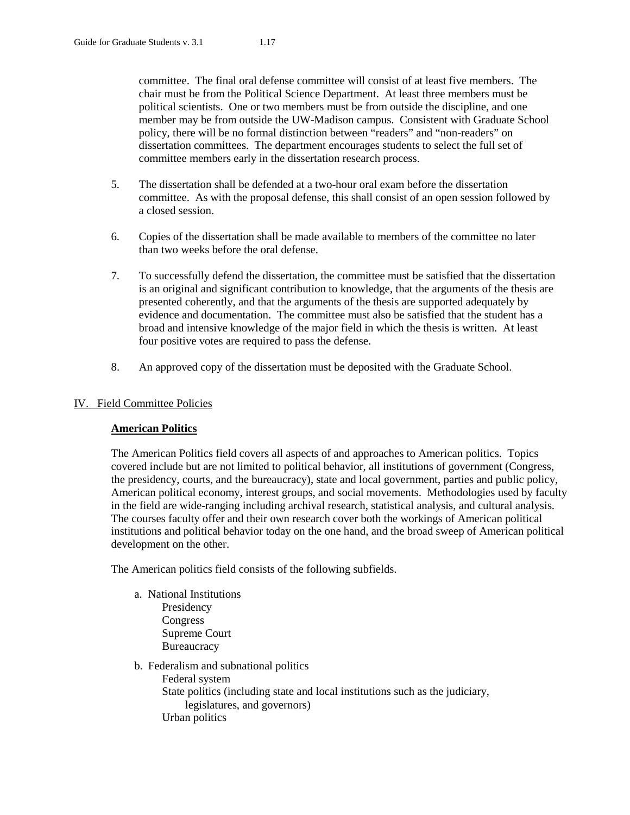committee. The final oral defense committee will consist of at least five members. The chair must be from the Political Science Department. At least three members must be political scientists. One or two members must be from outside the discipline, and one member may be from outside the UW-Madison campus. Consistent with Graduate School policy, there will be no formal distinction between "readers" and "non-readers" on dissertation committees. The department encourages students to select the full set of committee members early in the dissertation research process.

- 5. The dissertation shall be defended at a two-hour oral exam before the dissertation committee. As with the proposal defense, this shall consist of an open session followed by a closed session.
- 6. Copies of the dissertation shall be made available to members of the committee no later than two weeks before the oral defense.
- 7. To successfully defend the dissertation, the committee must be satisfied that the dissertation is an original and significant contribution to knowledge, that the arguments of the thesis are presented coherently, and that the arguments of the thesis are supported adequately by evidence and documentation. The committee must also be satisfied that the student has a broad and intensive knowledge of the major field in which the thesis is written. At least four positive votes are required to pass the defense.
- 8. An approved copy of the dissertation must be deposited with the Graduate School.

# IV. Field Committee Policies

# **American Politics**

The American Politics field covers all aspects of and approaches to American politics. Topics covered include but are not limited to political behavior, all institutions of government (Congress, the presidency, courts, and the bureaucracy), state and local government, parties and public policy, American political economy, interest groups, and social movements. Methodologies used by faculty in the field are wide-ranging including archival research, statistical analysis, and cultural analysis. The courses faculty offer and their own research cover both the workings of American political institutions and political behavior today on the one hand, and the broad sweep of American political development on the other.

The American politics field consists of the following subfields.

- a. National Institutions Presidency Congress Supreme Court **Bureaucracy**
- b. Federalism and subnational politics
	- Federal system
		- State politics (including state and local institutions such as the judiciary, legislatures, and governors) Urban politics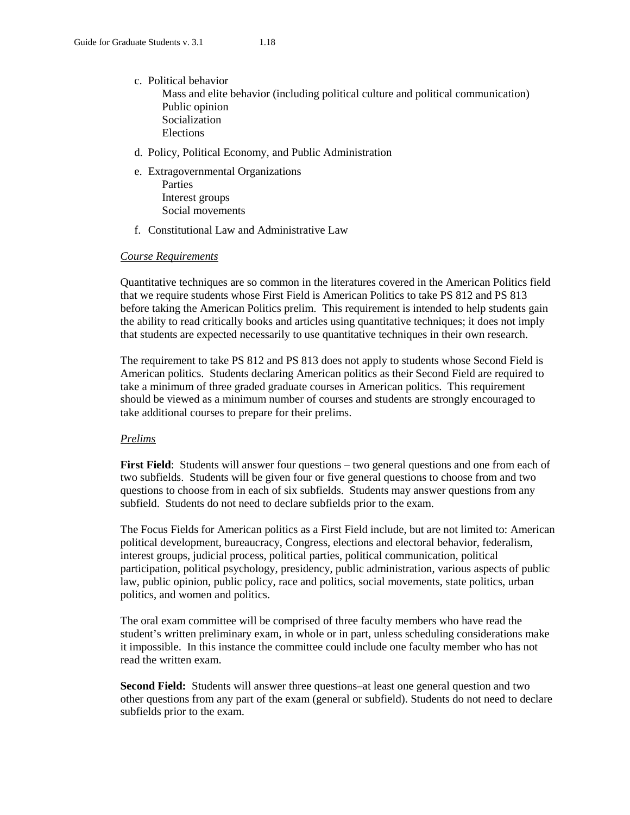- c. Political behavior Mass and elite behavior (including political culture and political communication) Public opinion Socialization Elections
- d. Policy, Political Economy, and Public Administration
- e. Extragovernmental Organizations Parties
	- Interest groups Social movements
- f. Constitutional Law and Administrative Law

#### *Course Requirements*

Quantitative techniques are so common in the literatures covered in the American Politics field that we require students whose First Field is American Politics to take PS 812 and PS 813 before taking the American Politics prelim. This requirement is intended to help students gain the ability to read critically books and articles using quantitative techniques; it does not imply that students are expected necessarily to use quantitative techniques in their own research.

The requirement to take PS 812 and PS 813 does not apply to students whose Second Field is American politics. Students declaring American politics as their Second Field are required to take a minimum of three graded graduate courses in American politics. This requirement should be viewed as a minimum number of courses and students are strongly encouraged to take additional courses to prepare for their prelims.

#### *Prelims*

**First Field**: Students will answer four questions – two general questions and one from each of two subfields. Students will be given four or five general questions to choose from and two questions to choose from in each of six subfields. Students may answer questions from any subfield. Students do not need to declare subfields prior to the exam.

The Focus Fields for American politics as a First Field include, but are not limited to: American political development, bureaucracy, Congress, elections and electoral behavior, federalism, interest groups, judicial process, political parties, political communication, political participation, political psychology, presidency, public administration, various aspects of public law, public opinion, public policy, race and politics, social movements, state politics, urban politics, and women and politics.

The oral exam committee will be comprised of three faculty members who have read the student's written preliminary exam, in whole or in part, unless scheduling considerations make it impossible. In this instance the committee could include one faculty member who has not read the written exam.

**Second Field:** Students will answer three questions–at least one general question and two other questions from any part of the exam (general or subfield). Students do not need to declare subfields prior to the exam.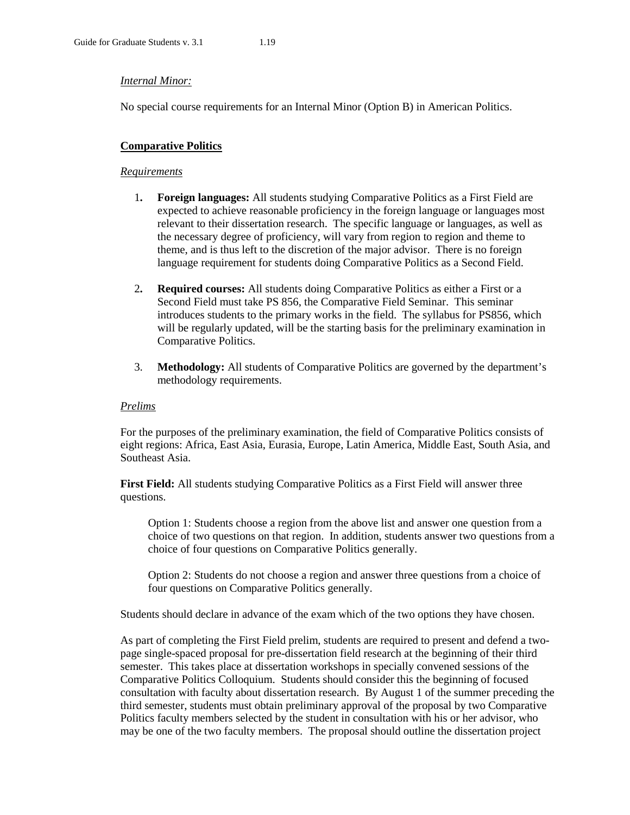#### *Internal Minor:*

No special course requirements for an Internal Minor (Option B) in American Politics.

#### **Comparative Politics**

#### *Requirements*

- 1**. Foreign languages:** All students studying Comparative Politics as a First Field are expected to achieve reasonable proficiency in the foreign language or languages most relevant to their dissertation research. The specific language or languages, as well as the necessary degree of proficiency, will vary from region to region and theme to theme, and is thus left to the discretion of the major advisor. There is no foreign language requirement for students doing Comparative Politics as a Second Field.
- 2**. Required courses:** All students doing Comparative Politics as either a First or a Second Field must take PS 856, the Comparative Field Seminar. This seminar introduces students to the primary works in the field. The syllabus for PS856, which will be regularly updated, will be the starting basis for the preliminary examination in Comparative Politics.
- 3. **Methodology:** All students of Comparative Politics are governed by the department's methodology requirements.

#### *Prelims*

For the purposes of the preliminary examination, the field of Comparative Politics consists of eight regions: Africa, East Asia, Eurasia, Europe, Latin America, Middle East, South Asia, and Southeast Asia.

**First Field:** All students studying Comparative Politics as a First Field will answer three questions.

Option 1: Students choose a region from the above list and answer one question from a choice of two questions on that region. In addition, students answer two questions from a choice of four questions on Comparative Politics generally.

Option 2: Students do not choose a region and answer three questions from a choice of four questions on Comparative Politics generally.

Students should declare in advance of the exam which of the two options they have chosen.

As part of completing the First Field prelim, students are required to present and defend a twopage single-spaced proposal for pre-dissertation field research at the beginning of their third semester. This takes place at dissertation workshops in specially convened sessions of the Comparative Politics Colloquium. Students should consider this the beginning of focused consultation with faculty about dissertation research. By August 1 of the summer preceding the third semester, students must obtain preliminary approval of the proposal by two Comparative Politics faculty members selected by the student in consultation with his or her advisor, who may be one of the two faculty members. The proposal should outline the dissertation project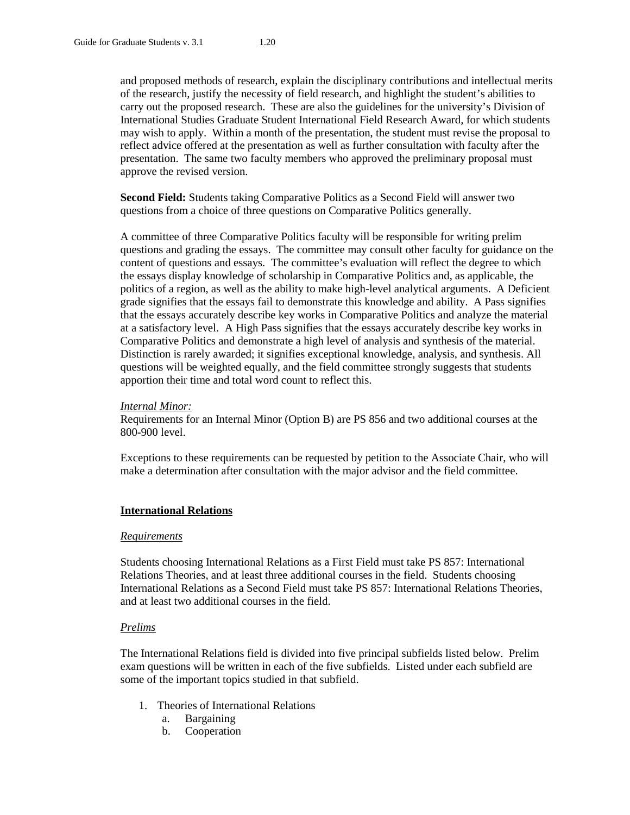and proposed methods of research, explain the disciplinary contributions and intellectual merits of the research, justify the necessity of field research, and highlight the student's abilities to carry out the proposed research. These are also the guidelines for the university's Division of International Studies Graduate Student International Field Research Award, for which students may wish to apply. Within a month of the presentation, the student must revise the proposal to reflect advice offered at the presentation as well as further consultation with faculty after the presentation. The same two faculty members who approved the preliminary proposal must approve the revised version.

**Second Field:** Students taking Comparative Politics as a Second Field will answer two questions from a choice of three questions on Comparative Politics generally.

A committee of three Comparative Politics faculty will be responsible for writing prelim questions and grading the essays. The committee may consult other faculty for guidance on the content of questions and essays. The committee's evaluation will reflect the degree to which the essays display knowledge of scholarship in Comparative Politics and, as applicable, the politics of a region, as well as the ability to make high-level analytical arguments. A Deficient grade signifies that the essays fail to demonstrate this knowledge and ability. A Pass signifies that the essays accurately describe key works in Comparative Politics and analyze the material at a satisfactory level. A High Pass signifies that the essays accurately describe key works in Comparative Politics and demonstrate a high level of analysis and synthesis of the material. Distinction is rarely awarded; it signifies exceptional knowledge, analysis, and synthesis. All questions will be weighted equally, and the field committee strongly suggests that students apportion their time and total word count to reflect this.

#### *Internal Minor:*

Requirements for an Internal Minor (Option B) are PS 856 and two additional courses at the 800-900 level.

Exceptions to these requirements can be requested by petition to the Associate Chair, who will make a determination after consultation with the major advisor and the field committee.

#### **International Relations**

#### *Requirements*

Students choosing International Relations as a First Field must take PS 857: International Relations Theories, and at least three additional courses in the field. Students choosing International Relations as a Second Field must take PS 857: International Relations Theories, and at least two additional courses in the field.

#### *Prelims*

The International Relations field is divided into five principal subfields listed below. Prelim exam questions will be written in each of the five subfields. Listed under each subfield are some of the important topics studied in that subfield.

- 1. Theories of International Relations
	- a. Bargaining
	- b. Cooperation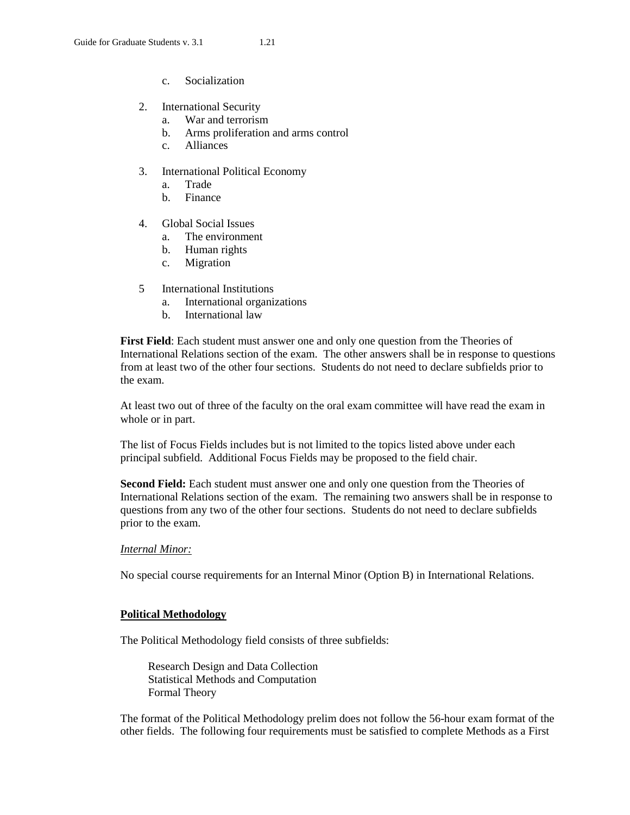- c. Socialization
- 2. International Security
	- a. War and terrorism
	- b. Arms proliferation and arms control
	- c. Alliances
- 3. International Political Economy
	- a. Trade
	- b. Finance
- 4. Global Social Issues
	- a. The environment
	- b. Human rights
	- c. Migration
- 5 International Institutions
	- a. International organizations
	- b. International law

**First Field**: Each student must answer one and only one question from the Theories of International Relations section of the exam. The other answers shall be in response to questions from at least two of the other four sections. Students do not need to declare subfields prior to the exam.

At least two out of three of the faculty on the oral exam committee will have read the exam in whole or in part.

The list of Focus Fields includes but is not limited to the topics listed above under each principal subfield. Additional Focus Fields may be proposed to the field chair.

**Second Field:** Each student must answer one and only one question from the Theories of International Relations section of the exam. The remaining two answers shall be in response to questions from any two of the other four sections. Students do not need to declare subfields prior to the exam.

#### *Internal Minor:*

No special course requirements for an Internal Minor (Option B) in International Relations.

# **Political Methodology**

The Political Methodology field consists of three subfields:

Research Design and Data Collection Statistical Methods and Computation Formal Theory

The format of the Political Methodology prelim does not follow the 56-hour exam format of the other fields. The following four requirements must be satisfied to complete Methods as a First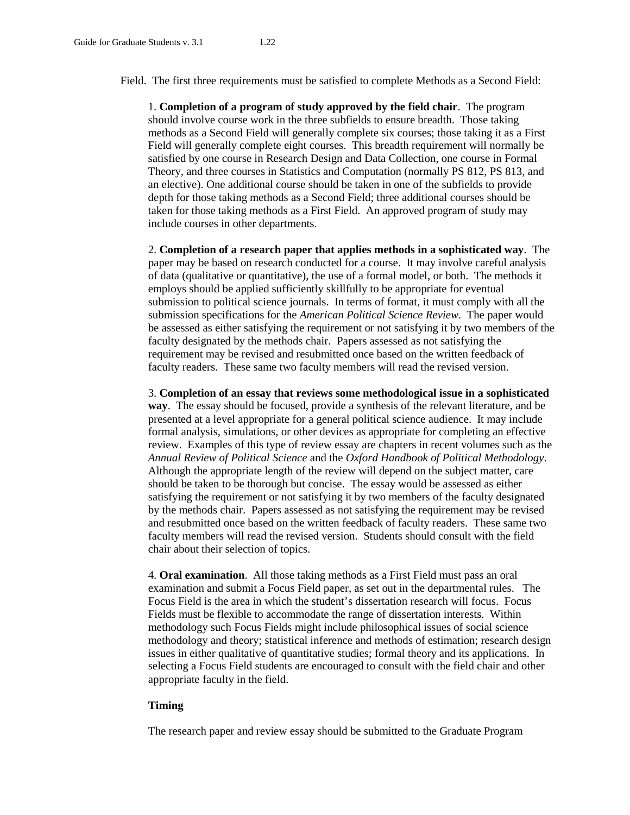Field. The first three requirements must be satisfied to complete Methods as a Second Field:

1. **Completion of a program of study approved by the field chair**. The program should involve course work in the three subfields to ensure breadth. Those taking methods as a Second Field will generally complete six courses; those taking it as a First Field will generally complete eight courses. This breadth requirement will normally be satisfied by one course in Research Design and Data Collection, one course in Formal Theory, and three courses in Statistics and Computation (normally PS 812, PS 813, and an elective). One additional course should be taken in one of the subfields to provide depth for those taking methods as a Second Field; three additional courses should be taken for those taking methods as a First Field. An approved program of study may include courses in other departments.

2. **Completion of a research paper that applies methods in a sophisticated way**. The paper may be based on research conducted for a course. It may involve careful analysis of data (qualitative or quantitative), the use of a formal model, or both. The methods it employs should be applied sufficiently skillfully to be appropriate for eventual submission to political science journals. In terms of format, it must comply with all the submission specifications for the *American Political Science Review*. The paper would be assessed as either satisfying the requirement or not satisfying it by two members of the faculty designated by the methods chair. Papers assessed as not satisfying the requirement may be revised and resubmitted once based on the written feedback of faculty readers. These same two faculty members will read the revised version.

3. **Completion of an essay that reviews some methodological issue in a sophisticated way**. The essay should be focused, provide a synthesis of the relevant literature, and be presented at a level appropriate for a general political science audience. It may include formal analysis, simulations, or other devices as appropriate for completing an effective review. Examples of this type of review essay are chapters in recent volumes such as the *Annual Review of Political Science* and the *Oxford Handbook of Political Methodology*. Although the appropriate length of the review will depend on the subject matter, care should be taken to be thorough but concise. The essay would be assessed as either satisfying the requirement or not satisfying it by two members of the faculty designated by the methods chair. Papers assessed as not satisfying the requirement may be revised and resubmitted once based on the written feedback of faculty readers. These same two faculty members will read the revised version. Students should consult with the field chair about their selection of topics.

4. **Oral examination**. All those taking methods as a First Field must pass an oral examination and submit a Focus Field paper, as set out in the departmental rules. The Focus Field is the area in which the student's dissertation research will focus. Focus Fields must be flexible to accommodate the range of dissertation interests. Within methodology such Focus Fields might include philosophical issues of social science methodology and theory; statistical inference and methods of estimation; research design issues in either qualitative of quantitative studies; formal theory and its applications. In selecting a Focus Field students are encouraged to consult with the field chair and other appropriate faculty in the field.

#### **Timing**

The research paper and review essay should be submitted to the Graduate Program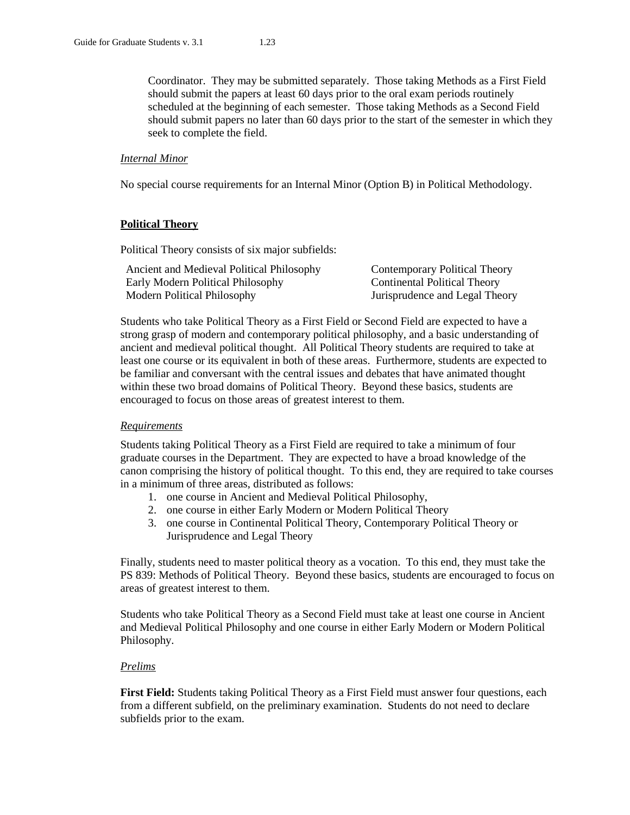Coordinator. They may be submitted separately. Those taking Methods as a First Field should submit the papers at least 60 days prior to the oral exam periods routinely scheduled at the beginning of each semester. Those taking Methods as a Second Field should submit papers no later than 60 days prior to the start of the semester in which they seek to complete the field.

#### *Internal Minor*

No special course requirements for an Internal Minor (Option B) in Political Methodology.

### **Political Theory**

Political Theory consists of six major subfields:

| Ancient and Medieval Political Philosophy | Contemporary Political Theory  |
|-------------------------------------------|--------------------------------|
| Early Modern Political Philosophy         | Continental Political Theory   |
| Modern Political Philosophy               | Jurisprudence and Legal Theory |

Students who take Political Theory as a First Field or Second Field are expected to have a strong grasp of modern and contemporary political philosophy, and a basic understanding of ancient and medieval political thought. All Political Theory students are required to take at least one course or its equivalent in both of these areas. Furthermore, students are expected to be familiar and conversant with the central issues and debates that have animated thought within these two broad domains of Political Theory. Beyond these basics, students are encouraged to focus on those areas of greatest interest to them.

#### *Requirements*

Students taking Political Theory as a First Field are required to take a minimum of four graduate courses in the Department. They are expected to have a broad knowledge of the canon comprising the history of political thought. To this end, they are required to take courses in a minimum of three areas, distributed as follows:

- 1. one course in Ancient and Medieval Political Philosophy,
- 2. one course in either Early Modern or Modern Political Theory
- 3. one course in Continental Political Theory, Contemporary Political Theory or Jurisprudence and Legal Theory

Finally, students need to master political theory as a vocation. To this end, they must take the PS 839: Methods of Political Theory. Beyond these basics, students are encouraged to focus on areas of greatest interest to them.

Students who take Political Theory as a Second Field must take at least one course in Ancient and Medieval Political Philosophy and one course in either Early Modern or Modern Political Philosophy.

#### *Prelims*

**First Field:** Students taking Political Theory as a First Field must answer four questions, each from a different subfield, on the preliminary examination. Students do not need to declare subfields prior to the exam.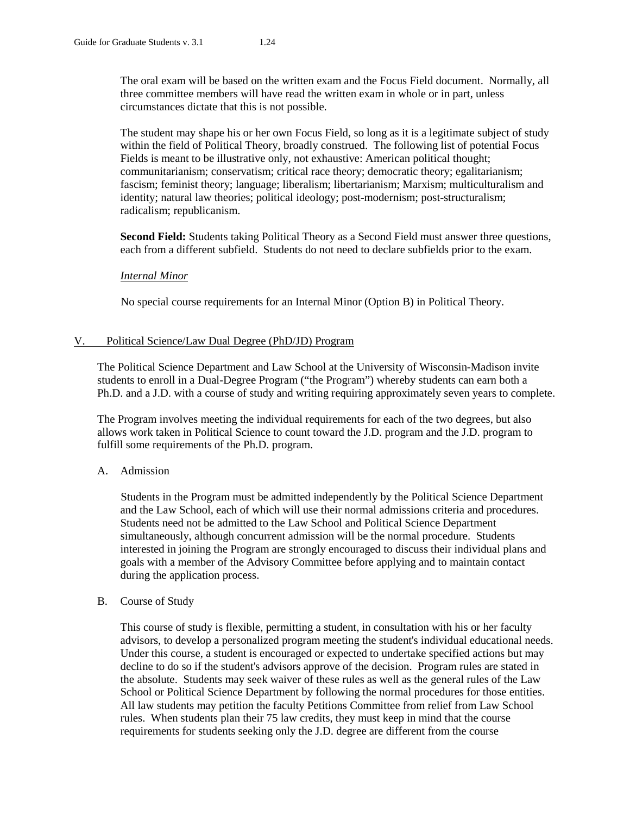The oral exam will be based on the written exam and the Focus Field document. Normally, all three committee members will have read the written exam in whole or in part, unless circumstances dictate that this is not possible.

The student may shape his or her own Focus Field, so long as it is a legitimate subject of study within the field of Political Theory, broadly construed. The following list of potential Focus Fields is meant to be illustrative only, not exhaustive: American political thought; communitarianism; conservatism; critical race theory; democratic theory; egalitarianism; fascism; feminist theory; language; liberalism; libertarianism; Marxism; multiculturalism and identity; natural law theories; political ideology; post-modernism; post-structuralism; radicalism; republicanism.

**Second Field:** Students taking Political Theory as a Second Field must answer three questions, each from a different subfield. Students do not need to declare subfields prior to the exam.

### *Internal Minor*

No special course requirements for an Internal Minor (Option B) in Political Theory.

### V. Political Science/Law Dual Degree (PhD/JD) Program

The Political Science Department and Law School at the University of Wisconsin-Madison invite students to enroll in a Dual-Degree Program ("the Program") whereby students can earn both a Ph.D. and a J.D. with a course of study and writing requiring approximately seven years to complete.

The Program involves meeting the individual requirements for each of the two degrees, but also allows work taken in Political Science to count toward the J.D. program and the J.D. program to fulfill some requirements of the Ph.D. program.

# A. Admission

Students in the Program must be admitted independently by the Political Science Department and the Law School, each of which will use their normal admissions criteria and procedures. Students need not be admitted to the Law School and Political Science Department simultaneously, although concurrent admission will be the normal procedure. Students interested in joining the Program are strongly encouraged to discuss their individual plans and goals with a member of the Advisory Committee before applying and to maintain contact during the application process.

#### B. Course of Study

This course of study is flexible, permitting a student, in consultation with his or her faculty advisors, to develop a personalized program meeting the student's individual educational needs. Under this course, a student is encouraged or expected to undertake specified actions but may decline to do so if the student's advisors approve of the decision. Program rules are stated in the absolute. Students may seek waiver of these rules as well as the general rules of the Law School or Political Science Department by following the normal procedures for those entities. All law students may petition the faculty Petitions Committee from relief from Law School rules. When students plan their 75 law credits, they must keep in mind that the course requirements for students seeking only the J.D. degree are different from the course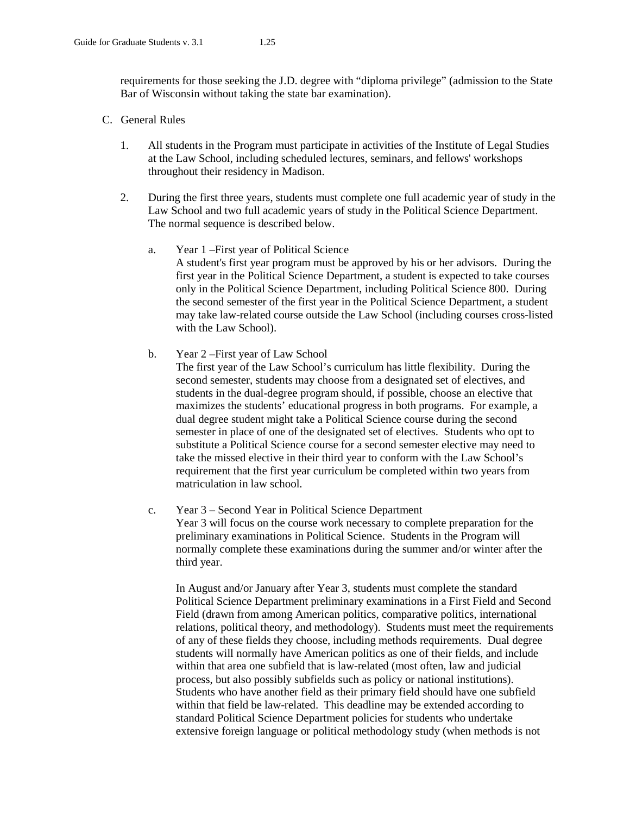requirements for those seeking the J.D. degree with "diploma privilege" (admission to the State Bar of Wisconsin without taking the state bar examination).

### C. General Rules

- 1. All students in the Program must participate in activities of the Institute of Legal Studies at the Law School, including scheduled lectures, seminars, and fellows' workshops throughout their residency in Madison.
- 2. During the first three years, students must complete one full academic year of study in the Law School and two full academic years of study in the Political Science Department. The normal sequence is described below.
	- a. Year 1 –First year of Political Science A student's first year program must be approved by his or her advisors. During the first year in the Political Science Department, a student is expected to take courses only in the Political Science Department, including Political Science 800. During the second semester of the first year in the Political Science Department, a student may take law-related course outside the Law School (including courses cross-listed with the Law School).
	- b. Year 2 –First year of Law School

The first year of the Law School's curriculum has little flexibility. During the second semester, students may choose from a designated set of electives, and students in the dual-degree program should, if possible, choose an elective that maximizes the students' educational progress in both programs. For example, a dual degree student might take a Political Science course during the second semester in place of one of the designated set of electives. Students who opt to substitute a Political Science course for a second semester elective may need to take the missed elective in their third year to conform with the Law School's requirement that the first year curriculum be completed within two years from matriculation in law school.

c. Year 3 – Second Year in Political Science Department Year 3 will focus on the course work necessary to complete preparation for the preliminary examinations in Political Science. Students in the Program will normally complete these examinations during the summer and/or winter after the third year.

In August and/or January after Year 3, students must complete the standard Political Science Department preliminary examinations in a First Field and Second Field (drawn from among American politics, comparative politics, international relations, political theory, and methodology). Students must meet the requirements of any of these fields they choose, including methods requirements. Dual degree students will normally have American politics as one of their fields, and include within that area one subfield that is law-related (most often, law and judicial process, but also possibly subfields such as policy or national institutions). Students who have another field as their primary field should have one subfield within that field be law-related. This deadline may be extended according to standard Political Science Department policies for students who undertake extensive foreign language or political methodology study (when methods is not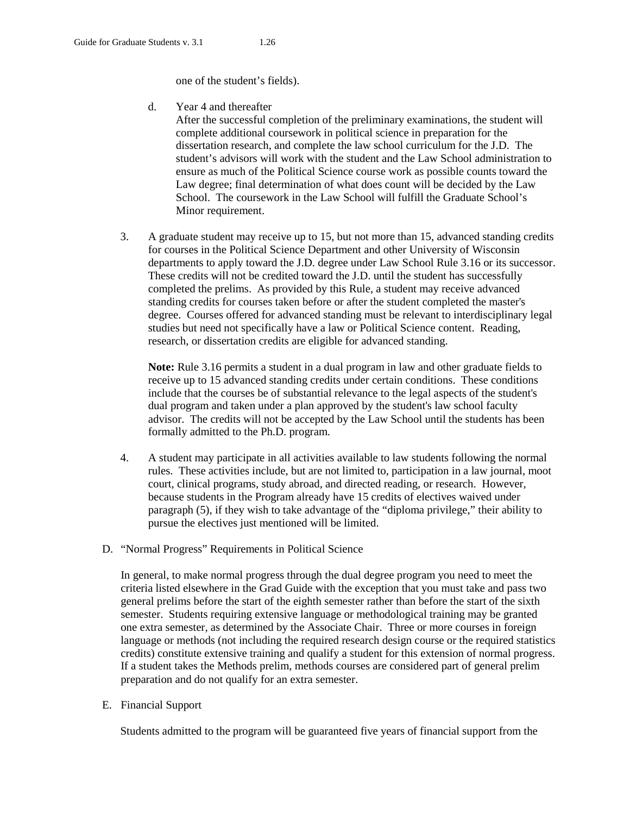one of the student's fields).

d. Year 4 and thereafter

After the successful completion of the preliminary examinations, the student will complete additional coursework in political science in preparation for the dissertation research, and complete the law school curriculum for the J.D. The student's advisors will work with the student and the Law School administration to ensure as much of the Political Science course work as possible counts toward the Law degree; final determination of what does count will be decided by the Law School. The coursework in the Law School will fulfill the Graduate School's Minor requirement.

3. A graduate student may receive up to 15, but not more than 15, advanced standing credits for courses in the Political Science Department and other University of Wisconsin departments to apply toward the J.D. degree under Law School Rule 3.16 or its successor. These credits will not be credited toward the J.D. until the student has successfully completed the prelims. As provided by this Rule, a student may receive advanced standing credits for courses taken before or after the student completed the master's degree. Courses offered for advanced standing must be relevant to interdisciplinary legal studies but need not specifically have a law or Political Science content. Reading, research, or dissertation credits are eligible for advanced standing.

**Note:** Rule 3.16 permits a student in a dual program in law and other graduate fields to receive up to 15 advanced standing credits under certain conditions. These conditions include that the courses be of substantial relevance to the legal aspects of the student's dual program and taken under a plan approved by the student's law school faculty advisor. The credits will not be accepted by the Law School until the students has been formally admitted to the Ph.D. program.

- 4. A student may participate in all activities available to law students following the normal rules. These activities include, but are not limited to, participation in a law journal, moot court, clinical programs, study abroad, and directed reading, or research. However, because students in the Program already have 15 credits of electives waived under paragraph (5), if they wish to take advantage of the "diploma privilege," their ability to pursue the electives just mentioned will be limited.
- D. "Normal Progress" Requirements in Political Science

In general, to make normal progress through the dual degree program you need to meet the criteria listed elsewhere in the Grad Guide with the exception that you must take and pass two general prelims before the start of the eighth semester rather than before the start of the sixth semester. Students requiring extensive language or methodological training may be granted one extra semester, as determined by the Associate Chair. Three or more courses in foreign language or methods (not including the required research design course or the required statistics credits) constitute extensive training and qualify a student for this extension of normal progress. If a student takes the Methods prelim, methods courses are considered part of general prelim preparation and do not qualify for an extra semester.

E. Financial Support

Students admitted to the program will be guaranteed five years of financial support from the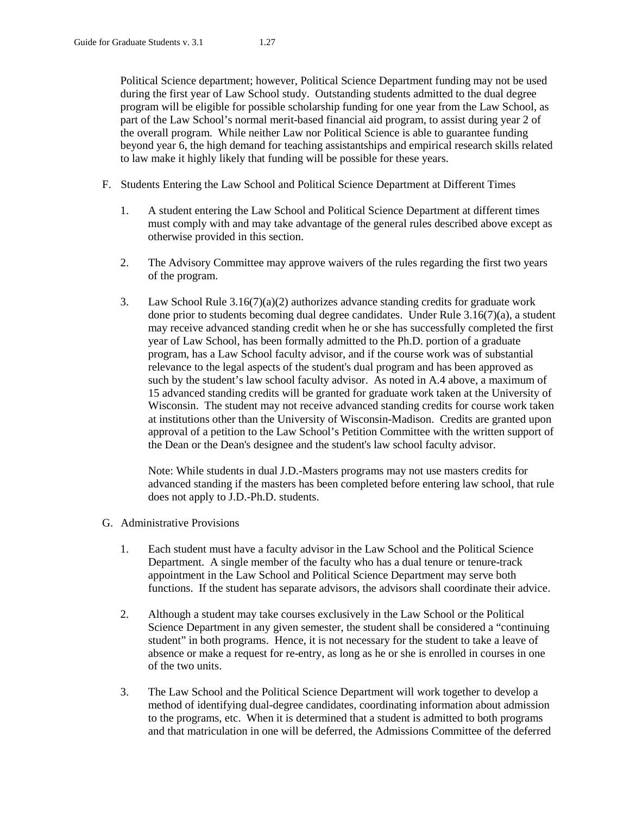Political Science department; however, Political Science Department funding may not be used during the first year of Law School study. Outstanding students admitted to the dual degree program will be eligible for possible scholarship funding for one year from the Law School, as part of the Law School's normal merit-based financial aid program, to assist during year 2 of the overall program. While neither Law nor Political Science is able to guarantee funding beyond year 6, the high demand for teaching assistantships and empirical research skills related to law make it highly likely that funding will be possible for these years.

- F. Students Entering the Law School and Political Science Department at Different Times
	- 1. A student entering the Law School and Political Science Department at different times must comply with and may take advantage of the general rules described above except as otherwise provided in this section.
	- 2. The Advisory Committee may approve waivers of the rules regarding the first two years of the program.
	- 3. Law School Rule 3.16(7)(a)(2) authorizes advance standing credits for graduate work done prior to students becoming dual degree candidates. Under Rule 3.16(7)(a), a student may receive advanced standing credit when he or she has successfully completed the first year of Law School, has been formally admitted to the Ph.D. portion of a graduate program, has a Law School faculty advisor, and if the course work was of substantial relevance to the legal aspects of the student's dual program and has been approved as such by the student's law school faculty advisor. As noted in A.4 above, a maximum of 15 advanced standing credits will be granted for graduate work taken at the University of Wisconsin. The student may not receive advanced standing credits for course work taken at institutions other than the University of Wisconsin-Madison. Credits are granted upon approval of a petition to the Law School's Petition Committee with the written support of the Dean or the Dean's designee and the student's law school faculty advisor.

Note: While students in dual J.D.-Masters programs may not use masters credits for advanced standing if the masters has been completed before entering law school, that rule does not apply to J.D.-Ph.D. students.

- G. Administrative Provisions
	- 1. Each student must have a faculty advisor in the Law School and the Political Science Department. A single member of the faculty who has a dual tenure or tenure-track appointment in the Law School and Political Science Department may serve both functions. If the student has separate advisors, the advisors shall coordinate their advice.
	- 2. Although a student may take courses exclusively in the Law School or the Political Science Department in any given semester, the student shall be considered a "continuing student" in both programs. Hence, it is not necessary for the student to take a leave of absence or make a request for re-entry, as long as he or she is enrolled in courses in one of the two units.
	- 3. The Law School and the Political Science Department will work together to develop a method of identifying dual-degree candidates, coordinating information about admission to the programs, etc. When it is determined that a student is admitted to both programs and that matriculation in one will be deferred, the Admissions Committee of the deferred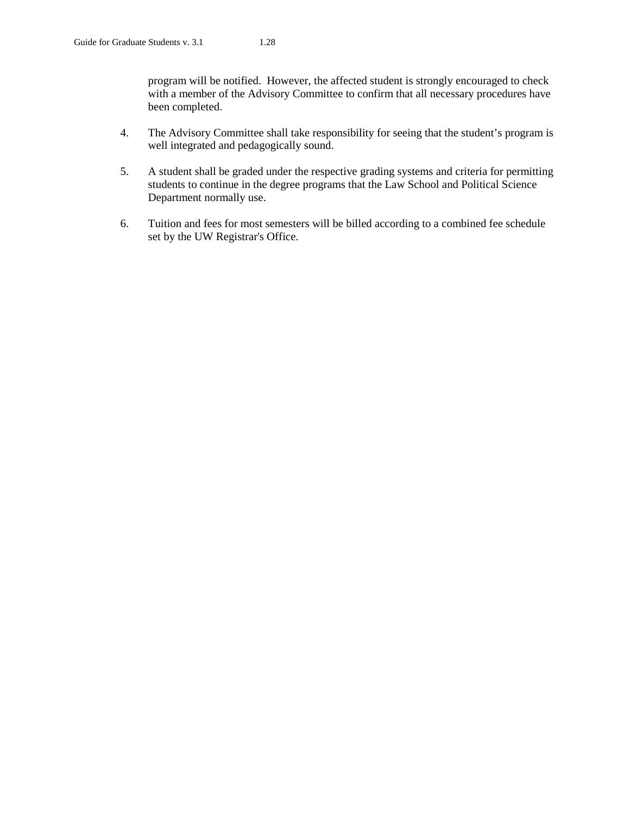program will be notified. However, the affected student is strongly encouraged to check with a member of the Advisory Committee to confirm that all necessary procedures have been completed.

- 4. The Advisory Committee shall take responsibility for seeing that the student's program is well integrated and pedagogically sound.
- 5. A student shall be graded under the respective grading systems and criteria for permitting students to continue in the degree programs that the Law School and Political Science Department normally use.
- 6. Tuition and fees for most semesters will be billed according to a combined fee schedule set by the UW Registrar's Office.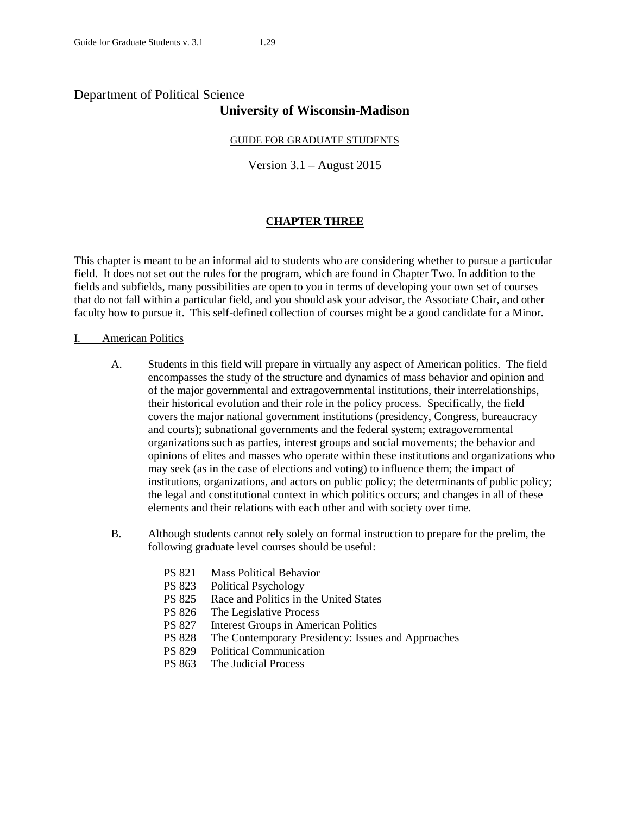# Department of Political Science **University of Wisconsin-Madison**

# GUIDE FOR GRADUATE STUDENTS

Version 3.1 – August 2015

# **CHAPTER THREE**

This chapter is meant to be an informal aid to students who are considering whether to pursue a particular field. It does not set out the rules for the program, which are found in Chapter Two. In addition to the fields and subfields, many possibilities are open to you in terms of developing your own set of courses that do not fall within a particular field, and you should ask your advisor, the Associate Chair, and other faculty how to pursue it. This self-defined collection of courses might be a good candidate for a Minor.

# I. American Politics

- A. Students in this field will prepare in virtually any aspect of American politics. The field encompasses the study of the structure and dynamics of mass behavior and opinion and of the major governmental and extragovernmental institutions, their interrelationships, their historical evolution and their role in the policy process. Specifically, the field covers the major national government institutions (presidency, Congress, bureaucracy and courts); subnational governments and the federal system; extragovernmental organizations such as parties, interest groups and social movements; the behavior and opinions of elites and masses who operate within these institutions and organizations who may seek (as in the case of elections and voting) to influence them; the impact of institutions, organizations, and actors on public policy; the determinants of public policy; the legal and constitutional context in which politics occurs; and changes in all of these elements and their relations with each other and with society over time.
- B. Although students cannot rely solely on formal instruction to prepare for the prelim, the following graduate level courses should be useful:
	- PS 821 Mass Political Behavior
	- PS 823 Political Psychology
	- PS 825 Race and Politics in the United States
	- PS 826 The Legislative Process
	- PS 827 Interest Groups in American Politics
	- PS 828 The Contemporary Presidency: Issues and Approaches
	- PS 829 Political Communication
	- PS 863 The Judicial Process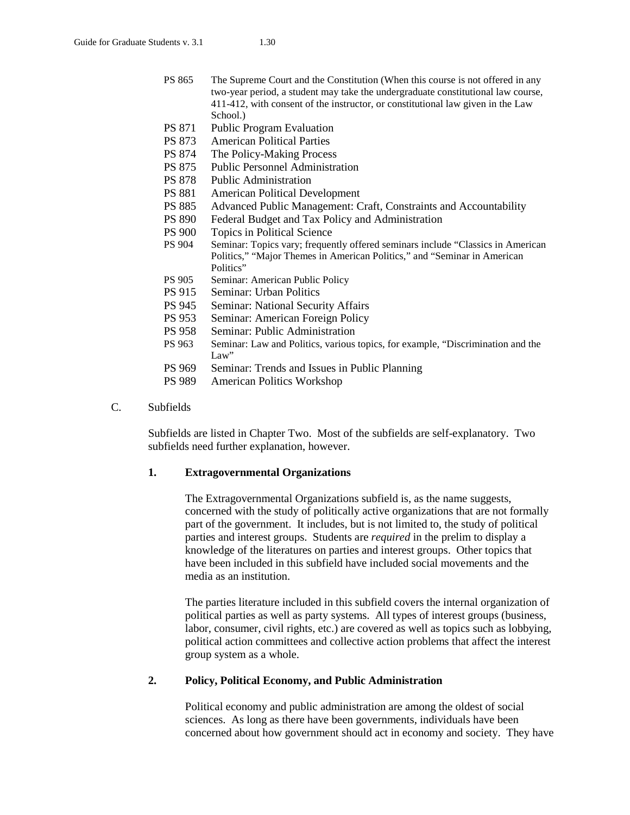- PS 865 The Supreme Court and the Constitution (When this course is not offered in any two-year period, a student may take the undergraduate constitutional law course, 411-412, with consent of the instructor, or constitutional law given in the Law School.)
- PS 871 Public Program Evaluation
- PS 873 American Political Parties
- PS 874 The Policy-Making Process
- PS 875 Public Personnel Administration
- PS 878 Public Administration
- PS 881 American Political Development
- PS 885 Advanced Public Management: Craft, Constraints and Accountability
- PS 890 Federal Budget and Tax Policy and Administration
- PS 900 Topics in Political Science<br>PS 904 Seminar: Topics vary; frequer
- Seminar: Topics vary; frequently offered seminars include "Classics in American Politics," "Major Themes in American Politics," and "Seminar in American Politics"
- PS 905 Seminar: American Public Policy
- PS 915 Seminar: Urban Politics
- PS 945 Seminar: National Security Affairs
- PS 953 Seminar: American Foreign Policy
- PS 958 Seminar: Public Administration
- PS 963 Seminar: Law and Politics, various topics, for example, "Discrimination and the Law"
- PS 969 Seminar: Trends and Issues in Public Planning
- PS 989 American Politics Workshop
- C. Subfields

Subfields are listed in Chapter Two. Most of the subfields are self-explanatory. Two subfields need further explanation, however.

# **1. Extragovernmental Organizations**

The Extragovernmental Organizations subfield is, as the name suggests, concerned with the study of politically active organizations that are not formally part of the government. It includes, but is not limited to, the study of political parties and interest groups. Students are *required* in the prelim to display a knowledge of the literatures on parties and interest groups. Other topics that have been included in this subfield have included social movements and the media as an institution.

The parties literature included in this subfield covers the internal organization of political parties as well as party systems. All types of interest groups (business, labor, consumer, civil rights, etc.) are covered as well as topics such as lobbying, political action committees and collective action problems that affect the interest group system as a whole.

# **2. Policy, Political Economy, and Public Administration**

Political economy and public administration are among the oldest of social sciences. As long as there have been governments, individuals have been concerned about how government should act in economy and society. They have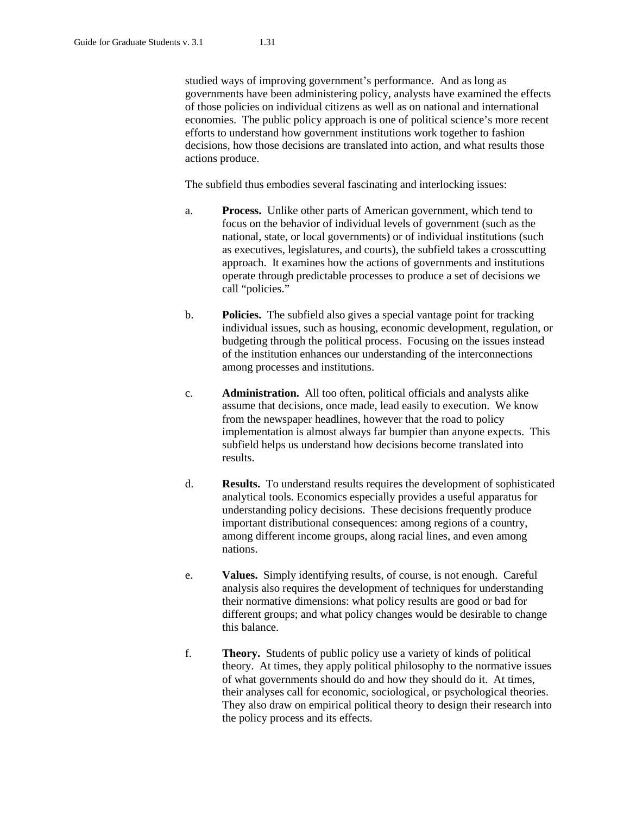studied ways of improving government's performance. And as long as governments have been administering policy, analysts have examined the effects of those policies on individual citizens as well as on national and international economies. The public policy approach is one of political science's more recent efforts to understand how government institutions work together to fashion decisions, how those decisions are translated into action, and what results those actions produce.

The subfield thus embodies several fascinating and interlocking issues:

- a. **Process.** Unlike other parts of American government, which tend to focus on the behavior of individual levels of government (such as the national, state, or local governments) or of individual institutions (such as executives, legislatures, and courts), the subfield takes a crosscutting approach. It examines how the actions of governments and institutions operate through predictable processes to produce a set of decisions we call "policies."
- b. **Policies.** The subfield also gives a special vantage point for tracking individual issues, such as housing, economic development, regulation, or budgeting through the political process. Focusing on the issues instead of the institution enhances our understanding of the interconnections among processes and institutions.
- c. **Administration.** All too often, political officials and analysts alike assume that decisions, once made, lead easily to execution. We know from the newspaper headlines, however that the road to policy implementation is almost always far bumpier than anyone expects. This subfield helps us understand how decisions become translated into results.
- d. **Results.** To understand results requires the development of sophisticated analytical tools. Economics especially provides a useful apparatus for understanding policy decisions. These decisions frequently produce important distributional consequences: among regions of a country, among different income groups, along racial lines, and even among nations.
- e. **Values.** Simply identifying results, of course, is not enough. Careful analysis also requires the development of techniques for understanding their normative dimensions: what policy results are good or bad for different groups; and what policy changes would be desirable to change this balance.
- f. **Theory.** Students of public policy use a variety of kinds of political theory. At times, they apply political philosophy to the normative issues of what governments should do and how they should do it. At times, their analyses call for economic, sociological, or psychological theories. They also draw on empirical political theory to design their research into the policy process and its effects.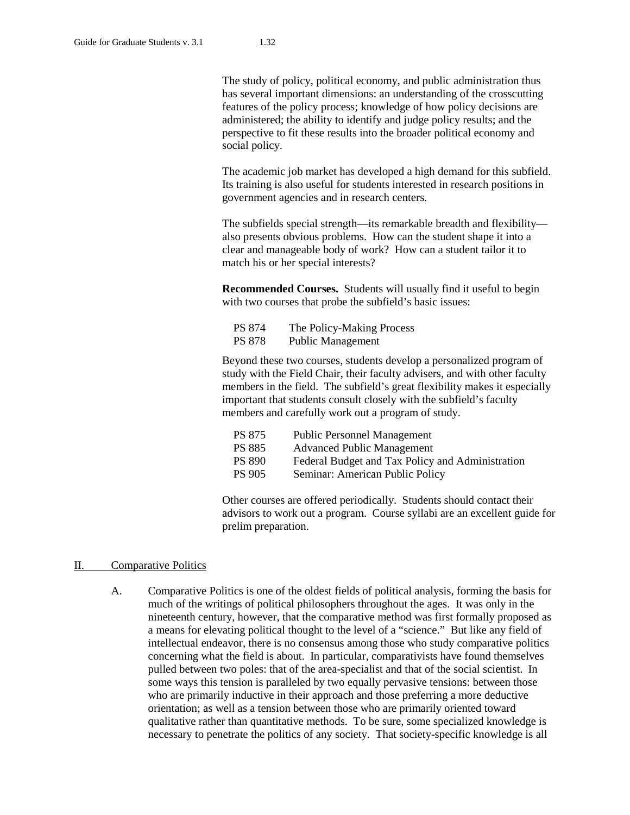The study of policy, political economy, and public administration thus has several important dimensions: an understanding of the crosscutting features of the policy process; knowledge of how policy decisions are administered; the ability to identify and judge policy results; and the perspective to fit these results into the broader political economy and social policy.

The academic job market has developed a high demand for this subfield. Its training is also useful for students interested in research positions in government agencies and in research centers.

The subfields special strength—its remarkable breadth and flexibility also presents obvious problems. How can the student shape it into a clear and manageable body of work? How can a student tailor it to match his or her special interests?

**Recommended Courses.** Students will usually find it useful to begin with two courses that probe the subfield's basic issues:

| <b>PS 874</b> | The Policy-Making Process |
|---------------|---------------------------|
| <b>PS 878</b> | <b>Public Management</b>  |

Beyond these two courses, students develop a personalized program of study with the Field Chair, their faculty advisers, and with other faculty members in the field. The subfield's great flexibility makes it especially important that students consult closely with the subfield's faculty members and carefully work out a program of study.

| PS 875        | <b>Public Personnel Management</b>               |
|---------------|--------------------------------------------------|
| <b>PS 885</b> | <b>Advanced Public Management</b>                |
| <b>PS 890</b> | Federal Budget and Tax Policy and Administration |
| PS 905        | Seminar: American Public Policy                  |

Other courses are offered periodically. Students should contact their advisors to work out a program. Course syllabi are an excellent guide for prelim preparation.

#### II. Comparative Politics

A. Comparative Politics is one of the oldest fields of political analysis, forming the basis for much of the writings of political philosophers throughout the ages. It was only in the nineteenth century, however, that the comparative method was first formally proposed as a means for elevating political thought to the level of a "science." But like any field of intellectual endeavor, there is no consensus among those who study comparative politics concerning what the field is about. In particular, comparativists have found themselves pulled between two poles: that of the area-specialist and that of the social scientist. In some ways this tension is paralleled by two equally pervasive tensions: between those who are primarily inductive in their approach and those preferring a more deductive orientation; as well as a tension between those who are primarily oriented toward qualitative rather than quantitative methods. To be sure, some specialized knowledge is necessary to penetrate the politics of any society. That society-specific knowledge is all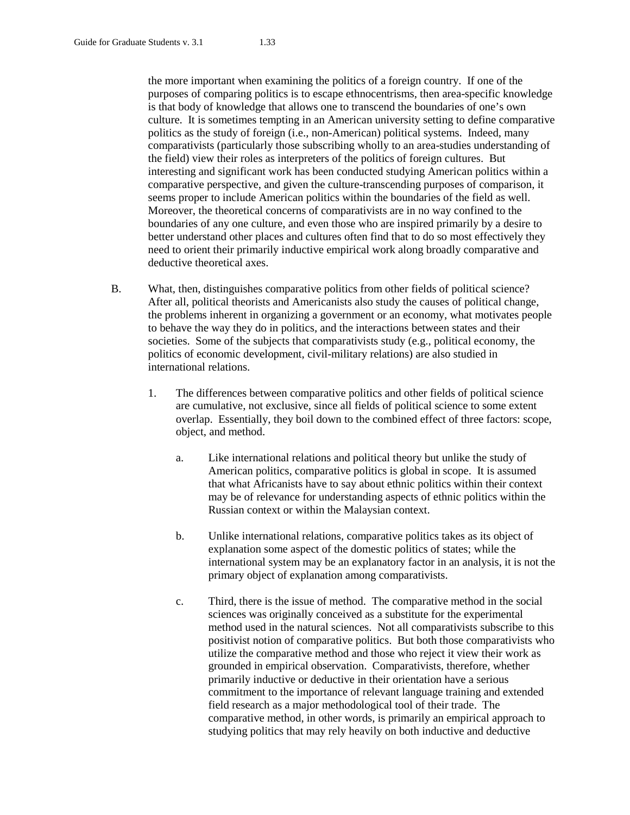the more important when examining the politics of a foreign country. If one of the purposes of comparing politics is to escape ethnocentrisms, then area-specific knowledge is that body of knowledge that allows one to transcend the boundaries of one's own culture. It is sometimes tempting in an American university setting to define comparative politics as the study of foreign (i.e., non-American) political systems. Indeed, many comparativists (particularly those subscribing wholly to an area-studies understanding of the field) view their roles as interpreters of the politics of foreign cultures. But interesting and significant work has been conducted studying American politics within a comparative perspective, and given the culture-transcending purposes of comparison, it seems proper to include American politics within the boundaries of the field as well. Moreover, the theoretical concerns of comparativists are in no way confined to the boundaries of any one culture, and even those who are inspired primarily by a desire to better understand other places and cultures often find that to do so most effectively they need to orient their primarily inductive empirical work along broadly comparative and deductive theoretical axes.

- B. What, then, distinguishes comparative politics from other fields of political science? After all, political theorists and Americanists also study the causes of political change, the problems inherent in organizing a government or an economy, what motivates people to behave the way they do in politics, and the interactions between states and their societies. Some of the subjects that comparativists study (e.g., political economy, the politics of economic development, civil-military relations) are also studied in international relations.
	- 1. The differences between comparative politics and other fields of political science are cumulative, not exclusive, since all fields of political science to some extent overlap. Essentially, they boil down to the combined effect of three factors: scope, object, and method.
		- a. Like international relations and political theory but unlike the study of American politics, comparative politics is global in scope. It is assumed that what Africanists have to say about ethnic politics within their context may be of relevance for understanding aspects of ethnic politics within the Russian context or within the Malaysian context.
		- b. Unlike international relations, comparative politics takes as its object of explanation some aspect of the domestic politics of states; while the international system may be an explanatory factor in an analysis, it is not the primary object of explanation among comparativists.
		- c. Third, there is the issue of method. The comparative method in the social sciences was originally conceived as a substitute for the experimental method used in the natural sciences. Not all comparativists subscribe to this positivist notion of comparative politics. But both those comparativists who utilize the comparative method and those who reject it view their work as grounded in empirical observation. Comparativists, therefore, whether primarily inductive or deductive in their orientation have a serious commitment to the importance of relevant language training and extended field research as a major methodological tool of their trade. The comparative method, in other words, is primarily an empirical approach to studying politics that may rely heavily on both inductive and deductive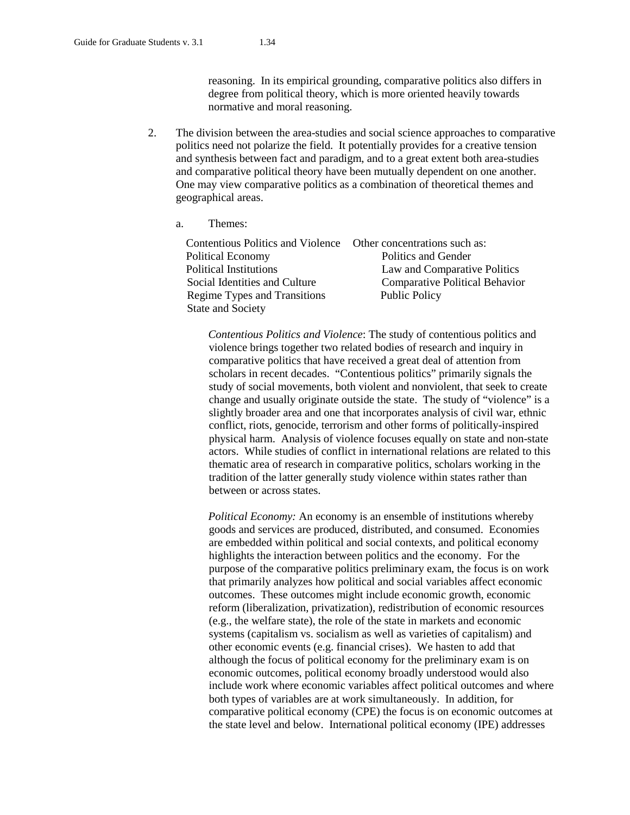reasoning. In its empirical grounding, comparative politics also differs in degree from political theory, which is more oriented heavily towards normative and moral reasoning.

- 2. The division between the area-studies and social science approaches to comparative politics need not polarize the field. It potentially provides for a creative tension and synthesis between fact and paradigm, and to a great extent both area-studies and comparative political theory have been mutually dependent on one another. One may view comparative politics as a combination of theoretical themes and geographical areas.
	- a. Themes:

| Contentious Politics and Violence Other concentrations such as: |                                |
|-----------------------------------------------------------------|--------------------------------|
| Political Economy                                               | Politics and Gender            |
| Political Institutions                                          | Law and Comparative Politics   |
| Social Identities and Culture                                   | Comparative Political Behavior |
| Regime Types and Transitions                                    | <b>Public Policy</b>           |
| <b>State and Society</b>                                        |                                |

*Contentious Politics and Violence*: The study of contentious politics and violence brings together two related bodies of research and inquiry in comparative politics that have received a great deal of attention from scholars in recent decades. "Contentious politics" primarily signals the study of social movements, both violent and nonviolent, that seek to create change and usually originate outside the state. The study of "violence" is a slightly broader area and one that incorporates analysis of civil war, ethnic conflict, riots, genocide, terrorism and other forms of politically-inspired physical harm. Analysis of violence focuses equally on state and non-state actors. While studies of conflict in international relations are related to this thematic area of research in comparative politics, scholars working in the tradition of the latter generally study violence within states rather than between or across states.

*Political Economy:* An economy is an ensemble of institutions whereby goods and services are produced, distributed, and consumed. Economies are embedded within political and social contexts, and political economy highlights the interaction between politics and the economy. For the purpose of the comparative politics preliminary exam, the focus is on work that primarily analyzes how political and social variables affect economic outcomes. These outcomes might include economic growth, economic reform (liberalization, privatization), redistribution of economic resources (e.g., the welfare state), the role of the state in markets and economic systems (capitalism vs. socialism as well as varieties of capitalism) and other economic events (e.g. financial crises). We hasten to add that although the focus of political economy for the preliminary exam is on economic outcomes, political economy broadly understood would also include work where economic variables affect political outcomes and where both types of variables are at work simultaneously. In addition, for comparative political economy (CPE) the focus is on economic outcomes at the state level and below. International political economy (IPE) addresses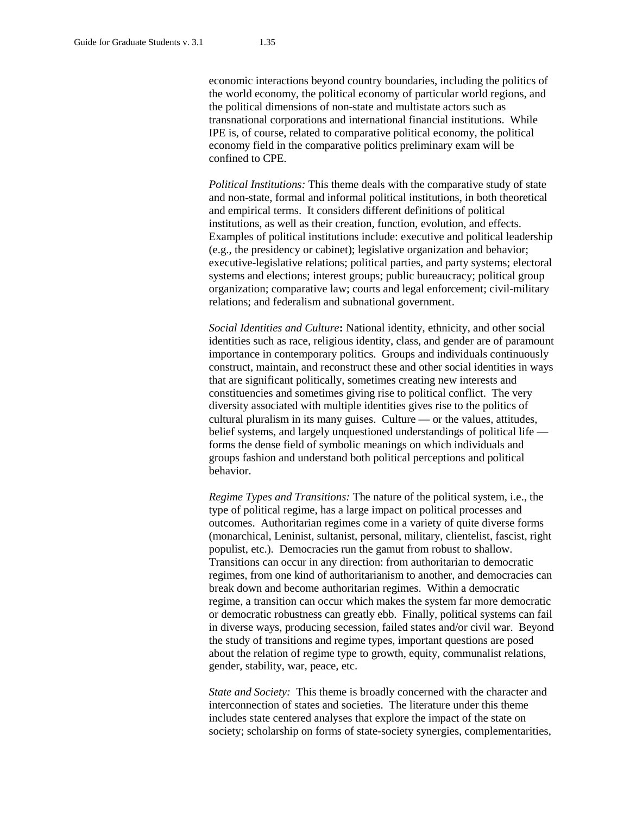economic interactions beyond country boundaries, including the politics of the world economy, the political economy of particular world regions, and the political dimensions of non-state and multistate actors such as transnational corporations and international financial institutions. While IPE is, of course, related to comparative political economy, the political economy field in the comparative politics preliminary exam will be confined to CPE.

*Political Institutions:* This theme deals with the comparative study of state and non-state, formal and informal political institutions, in both theoretical and empirical terms. It considers different definitions of political institutions, as well as their creation, function, evolution, and effects. Examples of political institutions include: executive and political leadership (e.g., the presidency or cabinet); legislative organization and behavior; executive-legislative relations; political parties, and party systems; electoral systems and elections; interest groups; public bureaucracy; political group organization; comparative law; courts and legal enforcement; civil-military relations; and federalism and subnational government.

*Social Identities and Culture***:** National identity, ethnicity, and other social identities such as race, religious identity, class, and gender are of paramount importance in contemporary politics. Groups and individuals continuously construct, maintain, and reconstruct these and other social identities in ways that are significant politically, sometimes creating new interests and constituencies and sometimes giving rise to political conflict. The very diversity associated with multiple identities gives rise to the politics of cultural pluralism in its many guises. Culture — or the values, attitudes, belief systems, and largely unquestioned understandings of political life forms the dense field of symbolic meanings on which individuals and groups fashion and understand both political perceptions and political behavior.

*Regime Types and Transitions:* The nature of the political system, i.e., the type of political regime, has a large impact on political processes and outcomes. Authoritarian regimes come in a variety of quite diverse forms (monarchical, Leninist, sultanist, personal, military, clientelist, fascist, right populist, etc.). Democracies run the gamut from robust to shallow. Transitions can occur in any direction: from authoritarian to democratic regimes, from one kind of authoritarianism to another, and democracies can break down and become authoritarian regimes. Within a democratic regime, a transition can occur which makes the system far more democratic or democratic robustness can greatly ebb. Finally, political systems can fail in diverse ways, producing secession, failed states and/or civil war. Beyond the study of transitions and regime types, important questions are posed about the relation of regime type to growth, equity, communalist relations, gender, stability, war, peace, etc.

*State and Society:* This theme is broadly concerned with the character and interconnection of states and societies. The literature under this theme includes state centered analyses that explore the impact of the state on society; scholarship on forms of state-society synergies, complementarities,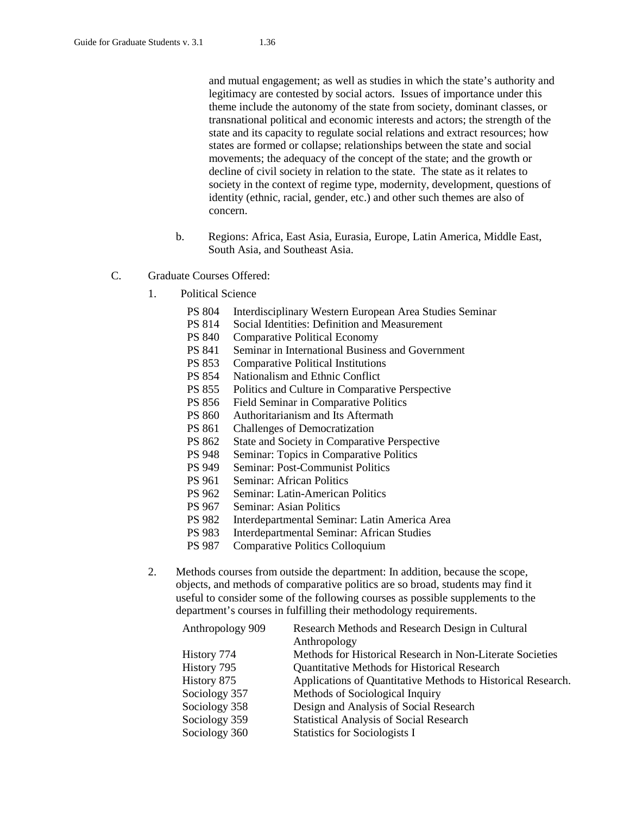and mutual engagement; as well as studies in which the state's authority and legitimacy are contested by social actors. Issues of importance under this theme include the autonomy of the state from society, dominant classes, or transnational political and economic interests and actors; the strength of the state and its capacity to regulate social relations and extract resources; how states are formed or collapse; relationships between the state and social movements; the adequacy of the concept of the state; and the growth or decline of civil society in relation to the state. The state as it relates to society in the context of regime type, modernity, development, questions of identity (ethnic, racial, gender, etc.) and other such themes are also of concern.

- b. Regions: Africa, East Asia, Eurasia, Europe, Latin America, Middle East, South Asia, and Southeast Asia.
- C. Graduate Courses Offered:
	- 1. Political Science
		- PS 804 Interdisciplinary Western European Area Studies Seminar
		- PS 814 Social Identities: Definition and Measurement
		- PS 840 Comparative Political Economy
		- PS 841 Seminar in International Business and Government
		- PS 853 Comparative Political Institutions
		- PS 854 Nationalism and Ethnic Conflict
		- PS 855 Politics and Culture in Comparative Perspective
		- PS 856 Field Seminar in Comparative Politics
		- PS 860 Authoritarianism and Its Aftermath
		- PS 861 Challenges of Democratization
		- PS 862 State and Society in Comparative Perspective<br>PS 948 Seminar: Topics in Comparative Politics
		- Seminar: Topics in Comparative Politics
		- PS 949 Seminar: Post-Communist Politics
		- PS 961 Seminar: African Politics
		- PS 962 Seminar: Latin-American Politics
		- PS 967 Seminar: Asian Politics
		- PS 982 Interdepartmental Seminar: Latin America Area
		- PS 983 Interdepartmental Seminar: African Studies
		- PS 987 Comparative Politics Colloquium
	- 2. Methods courses from outside the department: In addition, because the scope, objects, and methods of comparative politics are so broad, students may find it useful to consider some of the following courses as possible supplements to the department's courses in fulfilling their methodology requirements.

| Anthropology 909 | Research Methods and Research Design in Cultural             |
|------------------|--------------------------------------------------------------|
|                  | Anthropology                                                 |
| History 774      | Methods for Historical Research in Non-Literate Societies    |
| History 795      | <b>Quantitative Methods for Historical Research</b>          |
| History 875      | Applications of Quantitative Methods to Historical Research. |
| Sociology 357    | Methods of Sociological Inquiry                              |
| Sociology 358    | Design and Analysis of Social Research                       |
| Sociology 359    | <b>Statistical Analysis of Social Research</b>               |
| Sociology 360    | <b>Statistics for Sociologists I</b>                         |
|                  |                                                              |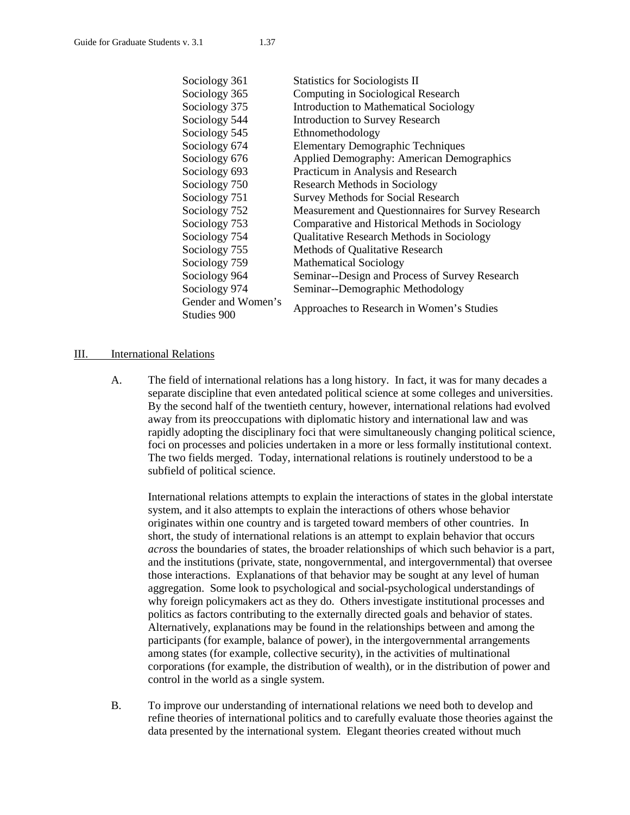| Sociology 361      | <b>Statistics for Sociologists II</b>              |  |
|--------------------|----------------------------------------------------|--|
| Sociology 365      | Computing in Sociological Research                 |  |
| Sociology 375      | <b>Introduction to Mathematical Sociology</b>      |  |
| Sociology 544      | <b>Introduction to Survey Research</b>             |  |
| Sociology 545      | Ethnomethodology                                   |  |
| Sociology 674      | <b>Elementary Demographic Techniques</b>           |  |
| Sociology 676      | <b>Applied Demography: American Demographics</b>   |  |
| Sociology 693      | Practicum in Analysis and Research                 |  |
| Sociology 750      | <b>Research Methods in Sociology</b>               |  |
| Sociology 751      | <b>Survey Methods for Social Research</b>          |  |
| Sociology 752      | Measurement and Questionnaires for Survey Research |  |
| Sociology 753      | Comparative and Historical Methods in Sociology    |  |
| Sociology 754      | Qualitative Research Methods in Sociology          |  |
| Sociology 755      | Methods of Qualitative Research                    |  |
| Sociology 759      | <b>Mathematical Sociology</b>                      |  |
| Sociology 964      | Seminar--Design and Process of Survey Research     |  |
| Sociology 974      | Seminar--Demographic Methodology                   |  |
| Gender and Women's |                                                    |  |
| Studies 900        | Approaches to Research in Women's Studies          |  |

### III. International Relations

A. The field of international relations has a long history. In fact, it was for many decades a separate discipline that even antedated political science at some colleges and universities. By the second half of the twentieth century, however, international relations had evolved away from its preoccupations with diplomatic history and international law and was rapidly adopting the disciplinary foci that were simultaneously changing political science, foci on processes and policies undertaken in a more or less formally institutional context. The two fields merged. Today, international relations is routinely understood to be a subfield of political science.

International relations attempts to explain the interactions of states in the global interstate system, and it also attempts to explain the interactions of others whose behavior originates within one country and is targeted toward members of other countries. In short, the study of international relations is an attempt to explain behavior that occurs *across* the boundaries of states, the broader relationships of which such behavior is a part, and the institutions (private, state, nongovernmental, and intergovernmental) that oversee those interactions. Explanations of that behavior may be sought at any level of human aggregation. Some look to psychological and social-psychological understandings of why foreign policymakers act as they do. Others investigate institutional processes and politics as factors contributing to the externally directed goals and behavior of states. Alternatively, explanations may be found in the relationships between and among the participants (for example, balance of power), in the intergovernmental arrangements among states (for example, collective security), in the activities of multinational corporations (for example, the distribution of wealth), or in the distribution of power and control in the world as a single system.

B. To improve our understanding of international relations we need both to develop and refine theories of international politics and to carefully evaluate those theories against the data presented by the international system. Elegant theories created without much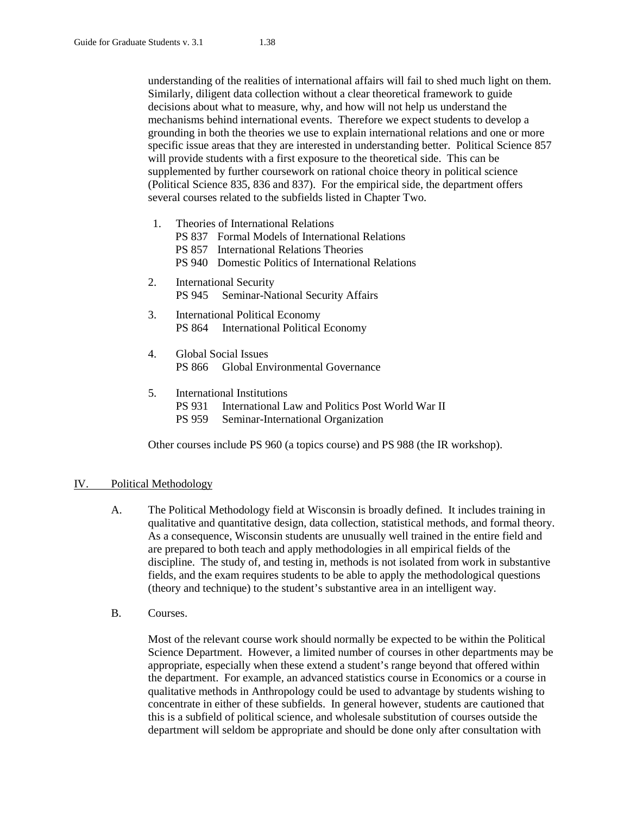understanding of the realities of international affairs will fail to shed much light on them. Similarly, diligent data collection without a clear theoretical framework to guide decisions about what to measure, why, and how will not help us understand the mechanisms behind international events. Therefore we expect students to develop a grounding in both the theories we use to explain international relations and one or more specific issue areas that they are interested in understanding better. Political Science 857 will provide students with a first exposure to the theoretical side. This can be supplemented by further coursework on rational choice theory in political science (Political Science 835, 836 and 837). For the empirical side, the department offers several courses related to the subfields listed in Chapter Two.

- 1. Theories of International Relations PS 837 Formal Models of International Relations PS 857 International Relations Theories PS 940 Domestic Politics of International Relations
- 2. International Security PS 945 Seminar-National Security Affairs
- 3. International Political Economy PS 864 International Political Economy
- 4. Global Social Issues PS 866 Global Environmental Governance
- 5. International Institutions PS 931 International Law and Politics Post World War II PS 959 Seminar-International Organization

Other courses include PS 960 (a topics course) and PS 988 (the IR workshop).

# IV. Political Methodology

- A. The Political Methodology field at Wisconsin is broadly defined. It includes training in qualitative and quantitative design, data collection, statistical methods, and formal theory. As a consequence, Wisconsin students are unusually well trained in the entire field and are prepared to both teach and apply methodologies in all empirical fields of the discipline. The study of, and testing in, methods is not isolated from work in substantive fields, and the exam requires students to be able to apply the methodological questions (theory and technique) to the student's substantive area in an intelligent way.
- B. Courses.

Most of the relevant course work should normally be expected to be within the Political Science Department. However, a limited number of courses in other departments may be appropriate, especially when these extend a student's range beyond that offered within the department. For example, an advanced statistics course in Economics or a course in qualitative methods in Anthropology could be used to advantage by students wishing to concentrate in either of these subfields. In general however, students are cautioned that this is a subfield of political science, and wholesale substitution of courses outside the department will seldom be appropriate and should be done only after consultation with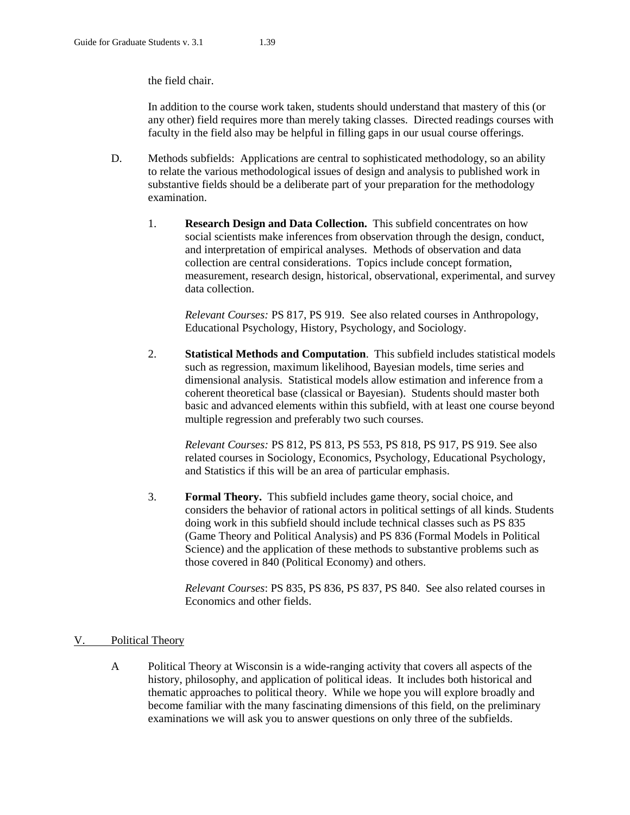the field chair.

In addition to the course work taken, students should understand that mastery of this (or any other) field requires more than merely taking classes. Directed readings courses with faculty in the field also may be helpful in filling gaps in our usual course offerings.

- D. Methods subfields: Applications are central to sophisticated methodology, so an ability to relate the various methodological issues of design and analysis to published work in substantive fields should be a deliberate part of your preparation for the methodology examination.
	- 1. **Research Design and Data Collection.** This subfield concentrates on how social scientists make inferences from observation through the design, conduct, and interpretation of empirical analyses. Methods of observation and data collection are central considerations. Topics include concept formation, measurement, research design, historical, observational, experimental, and survey data collection.

*Relevant Courses:* PS 817, PS 919. See also related courses in Anthropology, Educational Psychology, History, Psychology, and Sociology.

2. **Statistical Methods and Computation**. This subfield includes statistical models such as regression, maximum likelihood, Bayesian models, time series and dimensional analysis. Statistical models allow estimation and inference from a coherent theoretical base (classical or Bayesian). Students should master both basic and advanced elements within this subfield, with at least one course beyond multiple regression and preferably two such courses.

*Relevant Courses:* PS 812, PS 813, PS 553, PS 818, PS 917, PS 919. See also related courses in Sociology, Economics, Psychology, Educational Psychology, and Statistics if this will be an area of particular emphasis.

3. **Formal Theory.** This subfield includes game theory, social choice, and considers the behavior of rational actors in political settings of all kinds. Students doing work in this subfield should include technical classes such as PS 835 (Game Theory and Political Analysis) and PS 836 (Formal Models in Political Science) and the application of these methods to substantive problems such as those covered in 840 (Political Economy) and others.

*Relevant Courses*: PS 835, PS 836, PS 837, PS 840. See also related courses in Economics and other fields.

# V. Political Theory

A Political Theory at Wisconsin is a wide-ranging activity that covers all aspects of the history, philosophy, and application of political ideas. It includes both historical and thematic approaches to political theory. While we hope you will explore broadly and become familiar with the many fascinating dimensions of this field, on the preliminary examinations we will ask you to answer questions on only three of the subfields.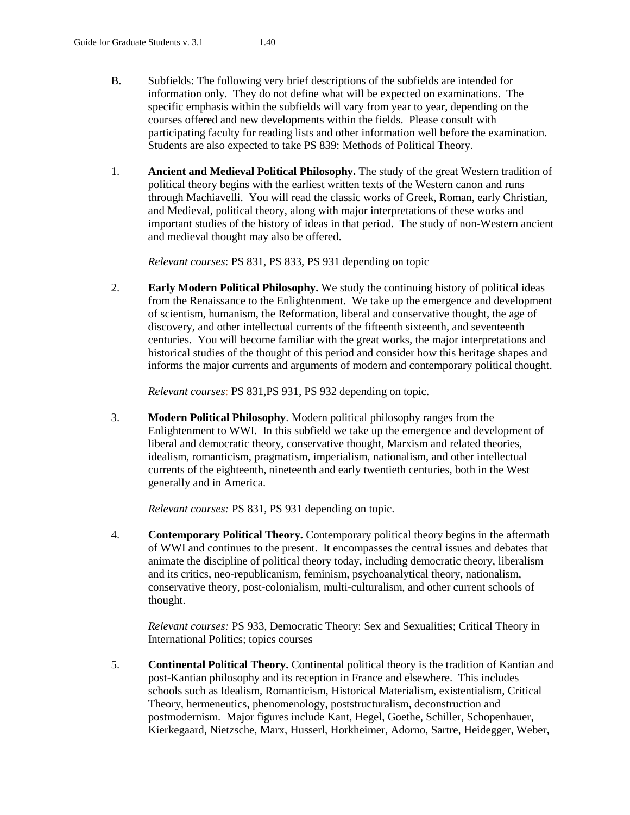- B. Subfields: The following very brief descriptions of the subfields are intended for information only. They do not define what will be expected on examinations. The specific emphasis within the subfields will vary from year to year, depending on the courses offered and new developments within the fields. Please consult with participating faculty for reading lists and other information well before the examination. Students are also expected to take PS 839: Methods of Political Theory.
- 1. **Ancient and Medieval Political Philosophy.** The study of the great Western tradition of political theory begins with the earliest written texts of the Western canon and runs through Machiavelli. You will read the classic works of Greek, Roman, early Christian, and Medieval, political theory, along with major interpretations of these works and important studies of the history of ideas in that period. The study of non-Western ancient and medieval thought may also be offered.

*Relevant courses*: PS 831, PS 833, PS 931 depending on topic

2. **Early Modern Political Philosophy.** We study the continuing history of political ideas from the Renaissance to the Enlightenment. We take up the emergence and development of scientism, humanism, the Reformation, liberal and conservative thought, the age of discovery, and other intellectual currents of the fifteenth sixteenth, and seventeenth centuries. You will become familiar with the great works, the major interpretations and historical studies of the thought of this period and consider how this heritage shapes and informs the major currents and arguments of modern and contemporary political thought.

*Relevant courses*: PS 831,PS 931, PS 932 depending on topic.

3. **Modern Political Philosophy**. Modern political philosophy ranges from the Enlightenment to WWI. In this subfield we take up the emergence and development of liberal and democratic theory, conservative thought, Marxism and related theories, idealism, romanticism, pragmatism, imperialism, nationalism, and other intellectual currents of the eighteenth, nineteenth and early twentieth centuries, both in the West generally and in America.

*Relevant courses:* PS 831, PS 931 depending on topic.

4. **Contemporary Political Theory.** Contemporary political theory begins in the aftermath of WWI and continues to the present. It encompasses the central issues and debates that animate the discipline of political theory today, including democratic theory, liberalism and its critics, neo-republicanism, feminism, psychoanalytical theory, nationalism, conservative theory, post-colonialism, multi-culturalism, and other current schools of thought.

*Relevant courses:* PS 933, Democratic Theory: Sex and Sexualities; Critical Theory in International Politics; topics courses

5. **Continental Political Theory.** Continental political theory is the tradition of Kantian and post-Kantian philosophy and its reception in France and elsewhere. This includes schools such as Idealism, Romanticism, Historical Materialism, existentialism, Critical Theory, hermeneutics, phenomenology, poststructuralism, deconstruction and postmodernism. Major figures include Kant, Hegel, Goethe, Schiller, Schopenhauer, Kierkegaard, Nietzsche, Marx, Husserl, Horkheimer, Adorno, Sartre, Heidegger, Weber,